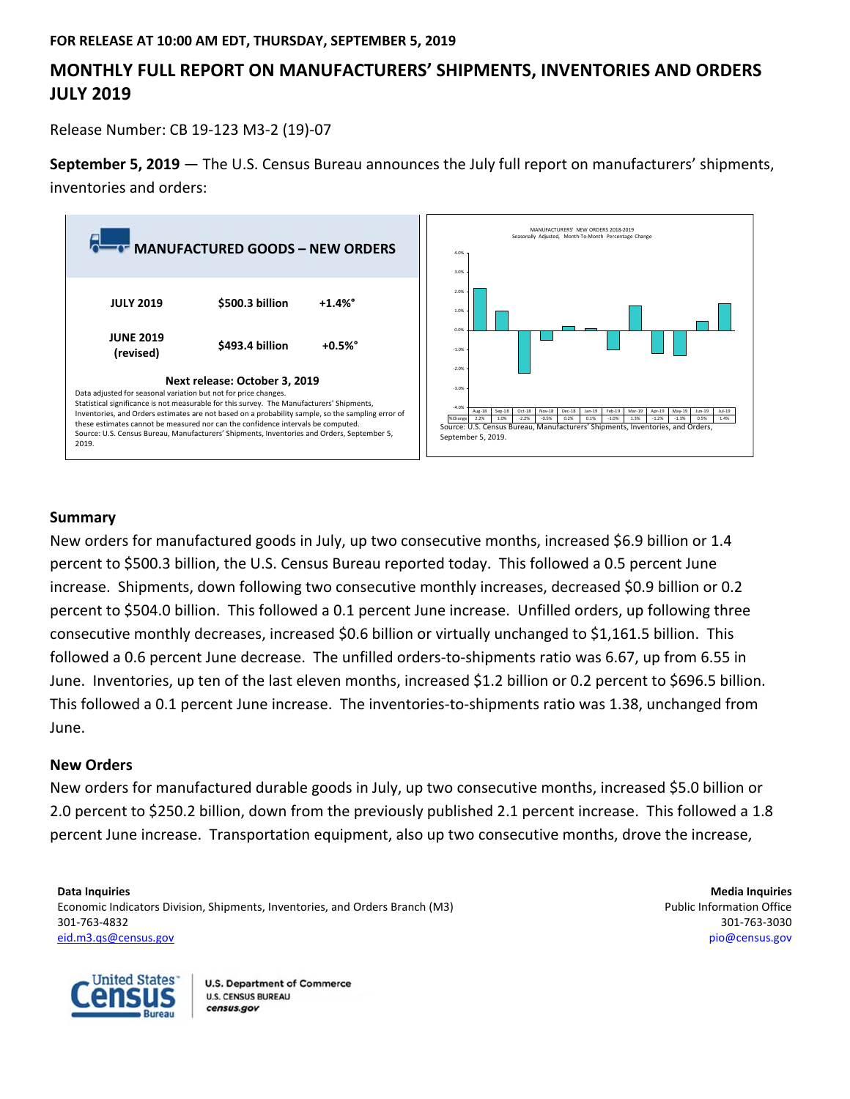## **FOR RELEASE AT 10:00 AM EDT, THURSDAY, SEPTEMBER 5, 2019**

# **MONTHLY FULL REPORT ON MANUFACTURERS' SHIPMENTS, INVENTORIES AND ORDERS JULY 2019**

Release Number: CB 19‐123 M3‐2 (19)‐07

**September 5, 2019** — The U.S. Census Bureau announces the July full report on manufacturers' shipments, inventories and orders:



# **Summary**

New orders for manufactured goods in July, up two consecutive months, increased \$6.9 billion or 1.4 percent to \$500.3 billion, the U.S. Census Bureau reported today. This followed a 0.5 percent June increase. Shipments, down following two consecutive monthly increases, decreased \$0.9 billion or 0.2 percent to \$504.0 billion. This followed a 0.1 percent June increase. Unfilled orders, up following three consecutive monthly decreases, increased \$0.6 billion or virtually unchanged to \$1,161.5 billion. This followed a 0.6 percent June decrease. The unfilled orders-to-shipments ratio was 6.67, up from 6.55 in June. Inventories, up ten of the last eleven months, increased \$1.2 billion or 0.2 percent to \$696.5 billion. This followed a 0.1 percent June increase. The inventories‐to‐shipments ratio was 1.38, unchanged from June.

## **New Orders**

New orders for manufactured durable goods in July, up two consecutive months, increased \$5.0 billion or 2.0 percent to \$250.2 billion, down from the previously published 2.1 percent increase. This followed a 1.8 percent June increase. Transportation equipment, also up two consecutive months, drove the increase,

**Data Inquiries 1996 Media Inquiries Media Inquiries Media Inquiries Media Inquiries Media Inquiries** Economic Indicators Division, Shipments, Inventories, and Orders Branch (M3) **Public Information Office** example and Orders Branch (M3) 301‐763‐4832 301‐763‐3030 eid.m3.qs@census.gov pio@census.gov

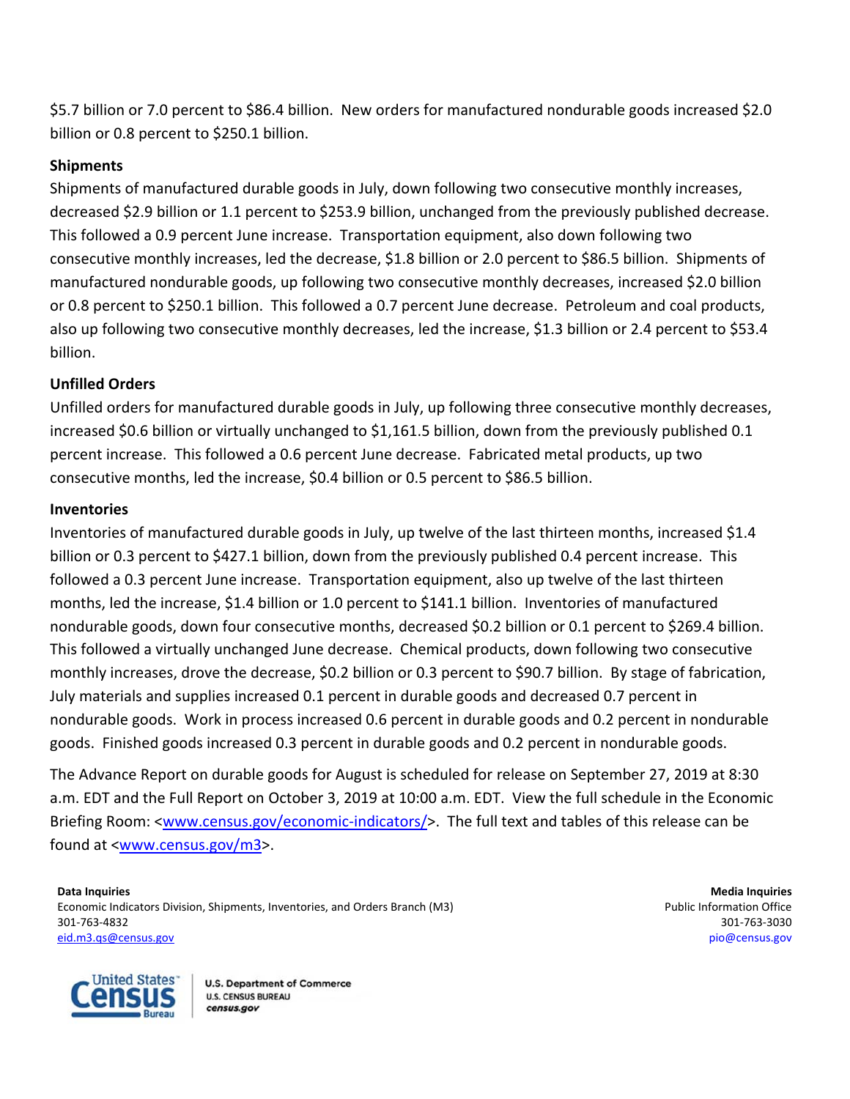\$5.7 billion or 7.0 percent to \$86.4 billion. New orders for manufactured nondurable goods increased \$2.0 billion or 0.8 percent to \$250.1 billion.

# **Shipments**

Shipments of manufactured durable goods in July, down following two consecutive monthly increases, decreased \$2.9 billion or 1.1 percent to \$253.9 billion, unchanged from the previously published decrease. This followed a 0.9 percent June increase. Transportation equipment, also down following two consecutive monthly increases, led the decrease, \$1.8 billion or 2.0 percent to \$86.5 billion. Shipments of manufactured nondurable goods, up following two consecutive monthly decreases, increased \$2.0 billion or 0.8 percent to \$250.1 billion. This followed a 0.7 percent June decrease. Petroleum and coal products, also up following two consecutive monthly decreases, led the increase, \$1.3 billion or 2.4 percent to \$53.4 billion.

# **Unfilled Orders**

Unfilled orders for manufactured durable goods in July, up following three consecutive monthly decreases, increased \$0.6 billion or virtually unchanged to \$1,161.5 billion, down from the previously published 0.1 percent increase. This followed a 0.6 percent June decrease. Fabricated metal products, up two consecutive months, led the increase, \$0.4 billion or 0.5 percent to \$86.5 billion.

# **Inventories**

Inventories of manufactured durable goods in July, up twelve of the last thirteen months, increased \$1.4 billion or 0.3 percent to \$427.1 billion, down from the previously published 0.4 percent increase. This followed a 0.3 percent June increase. Transportation equipment, also up twelve of the last thirteen months, led the increase, \$1.4 billion or 1.0 percent to \$141.1 billion. Inventories of manufactured nondurable goods, down four consecutive months, decreased \$0.2 billion or 0.1 percent to \$269.4 billion. This followed a virtually unchanged June decrease. Chemical products, down following two consecutive monthly increases, drove the decrease, \$0.2 billion or 0.3 percent to \$90.7 billion. By stage of fabrication, July materials and supplies increased 0.1 percent in durable goods and decreased 0.7 percent in nondurable goods. Work in process increased 0.6 percent in durable goods and 0.2 percent in nondurable goods. Finished goods increased 0.3 percent in durable goods and 0.2 percent in nondurable goods.

The Advance Report on durable goods for August is scheduled for release on September 27, 2019 at 8:30 a.m. EDT and the Full Report on October 3, 2019 at 10:00 a.m. EDT. View the full schedule in the Economic Briefing Room: <www.census.gov/economic-indicators/>. The full text and tables of this release can be found at <www.census.gov/m3>.

**Data Inquiries Media Inquiries** *Media Inquiries* **<b>***Media Inquiries* Economic Indicators Division, Shipments, Inventories, and Orders Branch (M3) **Public Information Office** example and Orders Branch (M3) 301‐763‐4832 301‐763‐3030 eid.m3.qs@census.gov pio@census.gov

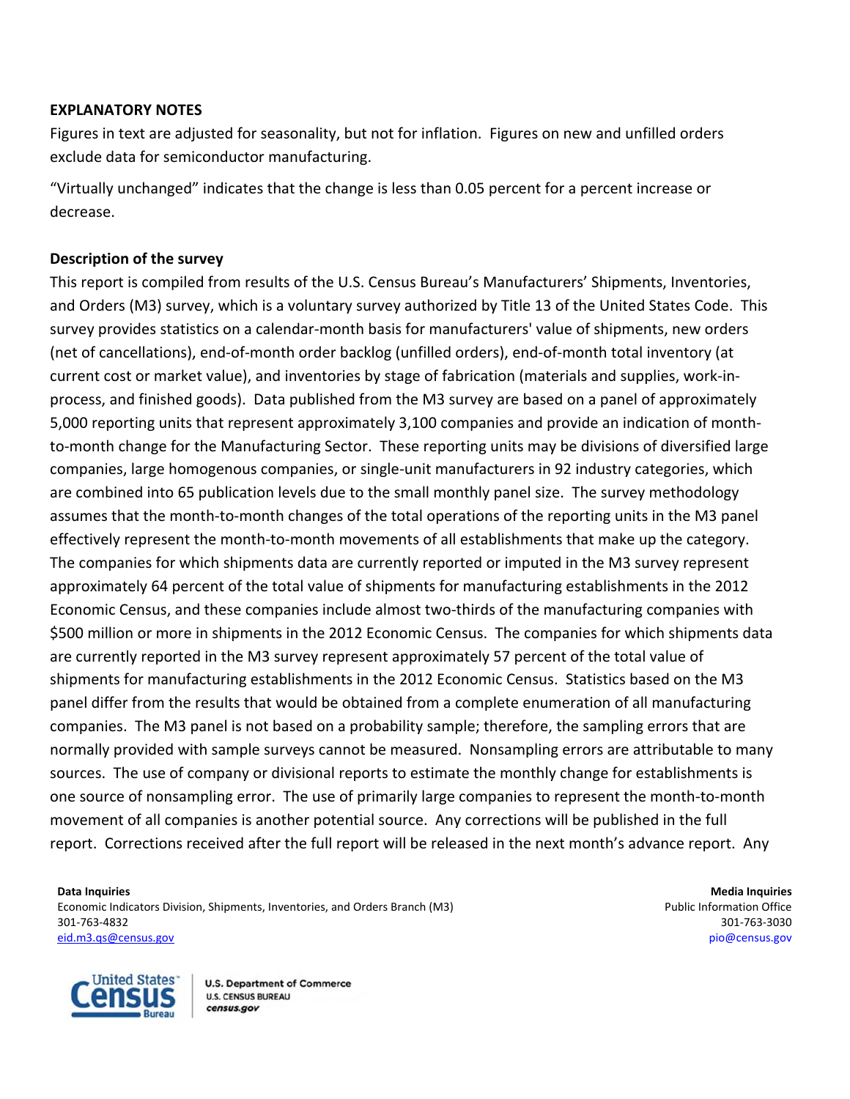# **EXPLANATORY NOTES**

Figures in text are adjusted for seasonality, but not for inflation. Figures on new and unfilled orders exclude data for semiconductor manufacturing.

"Virtually unchanged" indicates that the change is less than 0.05 percent for a percent increase or decrease.

# **Description of the survey**

This report is compiled from results of the U.S. Census Bureau's Manufacturers' Shipments, Inventories, and Orders (M3) survey, which is a voluntary survey authorized by Title 13 of the United States Code. This survey provides statistics on a calendar‐month basis for manufacturers' value of shipments, new orders (net of cancellations), end‐of‐month order backlog (unfilled orders), end‐of‐month total inventory (at current cost or market value), and inventories by stage of fabrication (materials and supplies, work‐in‐ process, and finished goods). Data published from the M3 survey are based on a panel of approximately 5,000 reporting units that represent approximately 3,100 companies and provide an indication of month‐ to-month change for the Manufacturing Sector. These reporting units may be divisions of diversified large companies, large homogenous companies, or single‐unit manufacturers in 92 industry categories, which are combined into 65 publication levels due to the small monthly panel size. The survey methodology assumes that the month‐to‐month changes of the total operations of the reporting units in the M3 panel effectively represent the month‐to‐month movements of all establishments that make up the category. The companies for which shipments data are currently reported or imputed in the M3 survey represent approximately 64 percent of the total value of shipments for manufacturing establishments in the 2012 Economic Census, and these companies include almost two-thirds of the manufacturing companies with \$500 million or more in shipments in the 2012 Economic Census. The companies for which shipments data are currently reported in the M3 survey represent approximately 57 percent of the total value of shipments for manufacturing establishments in the 2012 Economic Census. Statistics based on the M3 panel differ from the results that would be obtained from a complete enumeration of all manufacturing companies. The M3 panel is not based on a probability sample; therefore, the sampling errors that are normally provided with sample surveys cannot be measured. Nonsampling errors are attributable to many sources. The use of company or divisional reports to estimate the monthly change for establishments is one source of nonsampling error. The use of primarily large companies to represent the month‐to‐month movement of all companies is another potential source. Any corrections will be published in the full report. Corrections received after the full report will be released in the next month's advance report. Any

**Data Inquiries Media Inquiries** *Media Inquiries* **<b>***Media Inquiries Media Inquiries* Economic Indicators Division, Shipments, Inventories, and Orders Branch (M3) **Public Information Office** example and Orders Branch (M3) 301‐763‐4832 301‐763‐3030 eid.m3.qs@census.gov pio@census.gov

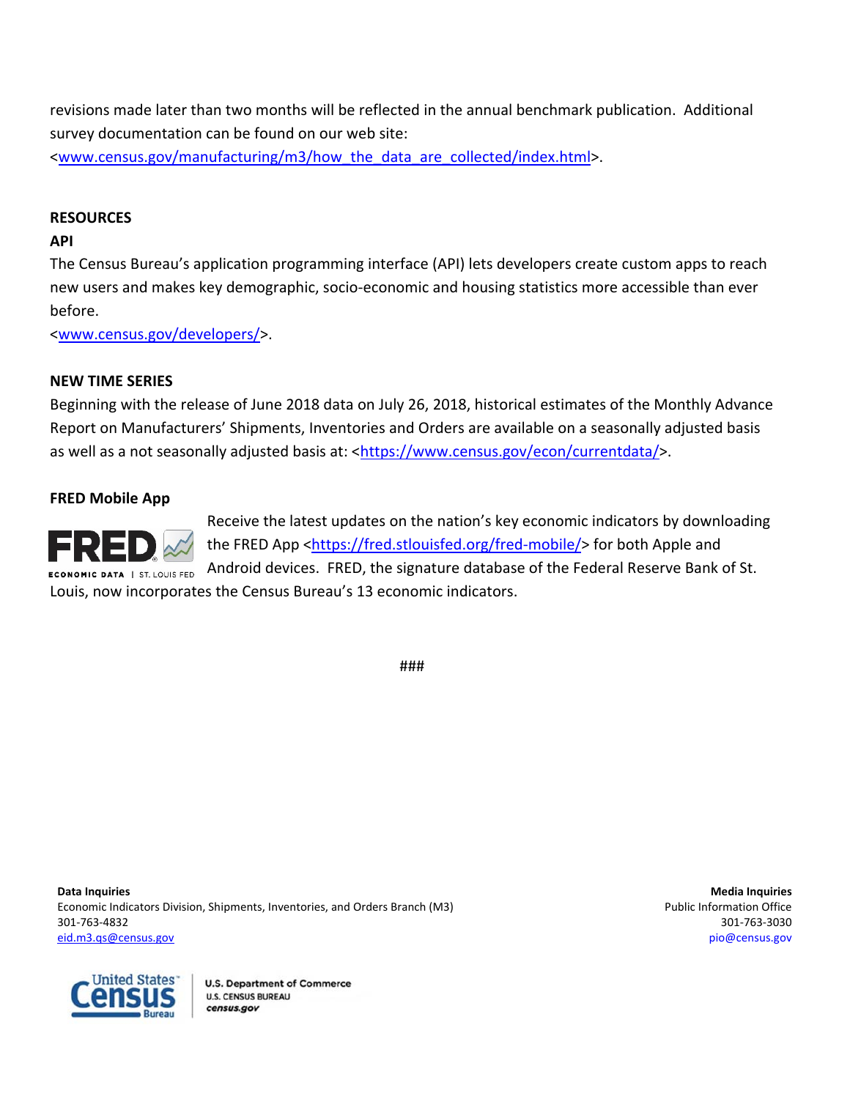revisions made later than two months will be reflected in the annual benchmark publication.Additional survey documentation can be found on our web site: <www.census.gov/manufacturing/m3/how\_the\_data\_are\_collected/index.html>.

# **RESOURCES**

# **API**

The Census Bureau's application programming interface (API) lets developers create custom apps to reach new users and makes key demographic, socio‐economic and housing statistics more accessible than ever before.

<www.census.gov/developers/>.

# **NEW TIME SERIES**

Beginning with the release of June 2018 data on July 26, 2018, historical estimates of the Monthly Advance Report on Manufacturers' Shipments, Inventories and Orders are available on a seasonally adjusted basis as well as a not seasonally adjusted basis at: <https://www.census.gov/econ/currentdata/>.

# **FRED Mobile App**



Receive the latest updates on the nation's key economic indicators by downloading the FRED App <https://fred.stlouisfed.org/fred-mobile/> for both Apple and Android devices. FRED, the signature database of the Federal Reserve Bank of St. Louis, now incorporates the Census Bureau's 13 economic indicators.

###

**Data Inquiries 1996 Media Inquiries Media Inquiries Media Inquiries Media Inquiries Media Inquiries** Economic Indicators Division, Shipments, Inventories, and Orders Branch (M3) **Public Information Office** example and Orders Branch (M3) 301‐763‐4832 301‐763‐3030 eid.m3.qs@census.gov pio@census.gov

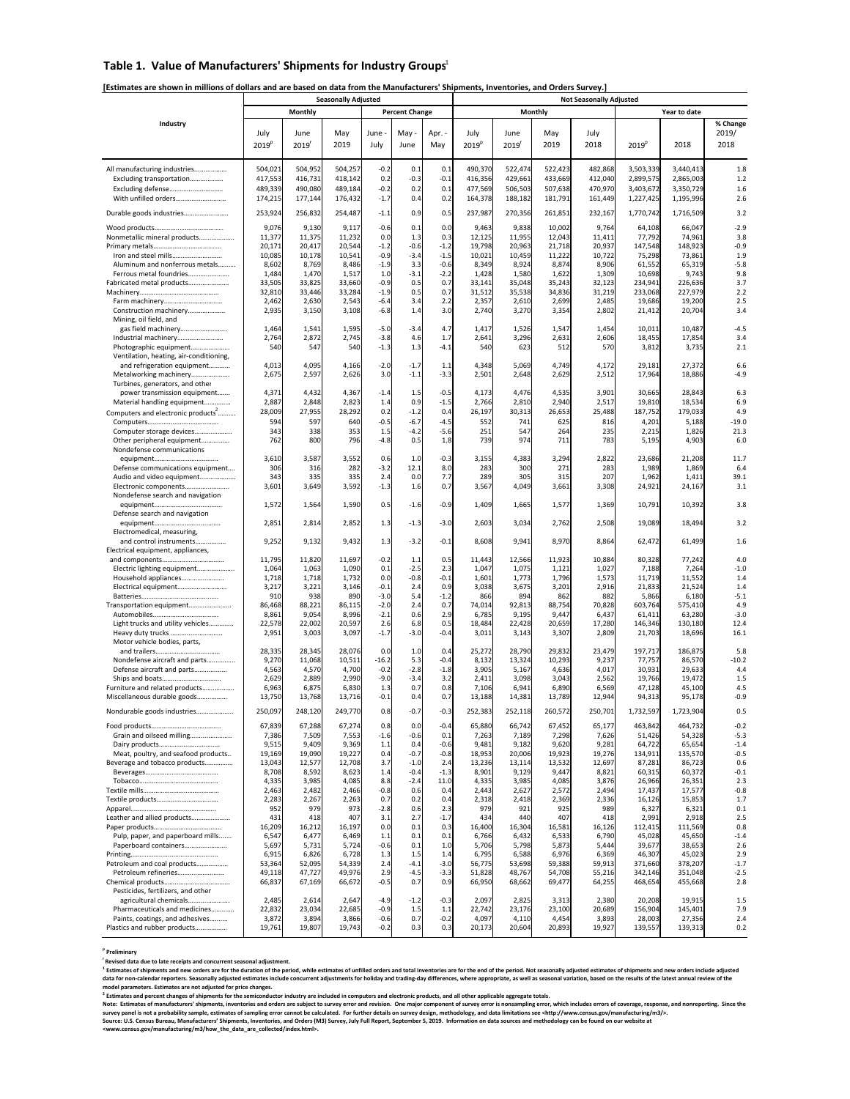### **Table 1. Value of Manufacturers' Shipments for Industry Groups** 1

### **[Estimates are shown in millions of dollars and are based on data from the Manufacturers' Shipments, Inventories, and Orders Survey.]**

|                                                                  | <b>Seasonally Adjusted</b> |                 |                 |                  |                       |               | <b>Not Seasonally Adjusted</b> |                 |                 |                 |                   |                   |                  |  |
|------------------------------------------------------------------|----------------------------|-----------------|-----------------|------------------|-----------------------|---------------|--------------------------------|-----------------|-----------------|-----------------|-------------------|-------------------|------------------|--|
|                                                                  |                            | Monthly         |                 |                  | <b>Percent Change</b> |               |                                |                 | Monthly         |                 |                   | Year to date      |                  |  |
| Industry                                                         |                            |                 |                 |                  |                       |               |                                |                 |                 |                 |                   |                   | % Change         |  |
|                                                                  | July                       | June            | May             | June             | May                   | Apr. -        | July                           | June            | May             | July            |                   |                   | 2019/            |  |
|                                                                  | 2019 <sup>p</sup>          | 2019            | 2019            | July             | June                  | May           | 2019 <sup>p</sup>              | 2019            | 2019            | 2018            | 2019 <sup>p</sup> | 2018              | 2018             |  |
|                                                                  |                            |                 |                 |                  |                       |               |                                |                 |                 |                 |                   |                   |                  |  |
| All manufacturing industries                                     | 504,021                    | 504,952         | 504,257         | $-0.2$           | 0.1                   | 0.1           | 490,370                        | 522,474         | 522,423         | 482,868         | 3,503,339         | 3,440,413         | 1.8              |  |
| Excluding transportation                                         | 417,553                    | 416,731         | 418,142         | 0.2              | $-0.3$                | $-0.1$        | 416,356                        | 429,661         | 433,669         | 412,040         | 2,899,575         | 2,865,003         | 1.2              |  |
| Excluding defense                                                | 489,339                    | 490,080         | 489.184         | $-0.2$           | 0.2                   | 0.1           | 477,569                        | 506,503         | 507,638         | 470,970         | 3,403,672         | 3,350,729         | 1.6              |  |
| With unfilled orders                                             | 174,215                    | 177,144         | 176,432         | $-1.7$           | 0.4                   | 0.2           | 164,378                        | 188,182         | 181,791         | 161,449         | 1,227,425         | 1,195,996         | 2.6              |  |
| Durable goods industries                                         | 253,924                    | 256,832         | 254,487         | $-1.1$           | 0.9                   | 0.5           | 237,987                        | 270,356         | 261,851         | 232,167         | 1,770,742         | 1,716,509         | 3.2              |  |
|                                                                  | 9,076                      | 9,130           | 9,117           | $-0.6$           | 0.1                   | 0.0           | 9,463                          | 9,838           | 10,002          | 9,764           | 64,108            | 66,047            | $-2.9$           |  |
| Nonmetallic mineral products                                     | 11,377                     | 11,375          | 11,232          | 0.0              | 1.3                   | 0.3           | 12,125                         | 11,955          | 12,043          | 11,411          | 77,792            | 74,961            | 3.8              |  |
|                                                                  | 20,171                     | 20,417          | 20,544          | $-1.2$           | $-0.6$                | $-1.2$        | 19,798                         | 20,963          | 21,718          | 20,937          | 147,548           | 148,923           | $-0.9$           |  |
| Iron and steel mills                                             | 10,085                     | 10,178          | 10,541          | $-0.9$           | $-3.4$                | $-1.5$        | 10,021                         | 10,459          | 11,222          | 10,722          | 75,298            | 73,861            | 1.9              |  |
| Aluminum and nonferrous metals                                   | 8,602                      | 8,769           | 8,486           | $-1.9$           | 3.3                   | $-0.6$        | 8,349                          | 8,924           | 8,874           | 8,906           | 61,552            | 65,319            | $-5.8$           |  |
| Ferrous metal foundries                                          | 1,484                      | 1,470           | 1,517           | 1.0              | $-3.1$                | $-2.2$        | 1,428                          | 1,580           | 1,622           | 1,309           | 10,698            | 9,743             | 9.8              |  |
| Fabricated metal products                                        | 33,505                     | 33,825          | 33,660          | $-0.9$           | 0.5                   | 0.7           | 33,141                         | 35,048          | 35,243          | 32,123          | 234,941           | 226,636           | 3.7              |  |
|                                                                  | 32,810                     | 33,446          | 33,284          | $-1.9$           | 0.5                   | 0.7           | 31,512                         | 35,538          | 34,836          | 31,219          | 233,068           | 227,979           | 2.2              |  |
| Construction machinery                                           | 2,462<br>2,935             | 2,630<br>3,150  | 2,543<br>3,108  | $-6.4$<br>$-6.8$ | 3.4<br>1.4            | 2.2<br>3.0    | 2,357<br>2,740                 | 2,610<br>3,270  | 2,699<br>3,354  | 2,485<br>2,802  | 19,686<br>21,412  | 19,200<br>20,704  | 2.5<br>3.4       |  |
| Mining, oil field, and                                           |                            |                 |                 |                  |                       |               |                                |                 |                 |                 |                   |                   |                  |  |
| gas field machinery                                              | 1,464                      | 1,541           | 1,595           | $-5.0$           | $-3.4$                | 4.7           | 1,417                          | 1,526           | 1,547           | 1,454           | 10,011            | 10,487            | $-4.5$           |  |
| Industrial machinery                                             | 2,764                      | 2,872           | 2,745           | $-3.8$           | 4.6                   | 1.7           | 2,641                          | 3,296           | 2,631           | 2,606           | 18,455            | 17,854            | 3.4              |  |
| Photographic equipment                                           | 540                        | 547             | 540             | $-1.3$           | 1.3                   | $-4.1$        | 540                            | 623             | 512             | 570             | 3,812             | 3,735             | 2.1              |  |
| Ventilation, heating, air-conditioning,                          |                            |                 |                 |                  |                       |               |                                |                 |                 |                 |                   |                   |                  |  |
| and refrigeration equipment                                      | 4,013                      | 4,095           | 4,166           | $-2.0$           | $-1.7$                | 1.1           | 4,348                          | 5,069           | 4,749           | 4,172           | 29,181            | 27,372            | 6.6              |  |
| Metalworking machinery                                           | 2,675                      | 2,597           | 2,626           | 3.0              | $-1.1$                | $-3.3$        | 2,501                          | 2,648           | 2,629           | 2,512           | 17,964            | 18,886            | $-4.9$           |  |
| Turbines, generators, and other                                  | 4,371                      | 4,432           | 4,367           | $-1.4$           | 1.5                   | $-0.5$        | 4,173                          | 4,476           | 4,535           | 3,901           | 30,665            | 28,843            | 6.3              |  |
| power transmission equipment<br>Material handling equipment      | 2,887                      | 2,848           | 2,823           | 1.4              | 0.9                   | $-1.5$        | 2,766                          | 2,810           | 2,940           | 2,517           | 19,810            | 18,534            | 6.9              |  |
| Computers and electronic products <sup>2</sup>                   | 28,009                     | 27,955          | 28,292          | 0.2              | $-1.2$                | 0.4           | 26,197                         | 30,313          | 26,653          | 25,488          | 187,752           | 179,033           | 4.9              |  |
|                                                                  | 594                        | 597             | 640             | $-0.5$           | $-6.7$                | $-4.5$        | 552                            | 741             | 625             | 816             | 4,201             | 5,188             | $-19.0$          |  |
| Computer storage devices                                         | 343                        | 338             | 353             | 1.5              | $-4.2$                | $-5.6$        | 251                            | 547             | 264             | 235             | 2,215             | 1,826             | 21.3             |  |
| Other peripheral equipment                                       | 762                        | 800             | 796             | $-4.8$           | 0.5                   | 1.8           | 739                            | 974             | 711             | 783             | 5,195             | 4,903             | 6.0              |  |
| Nondefense communications                                        |                            |                 |                 |                  |                       |               |                                |                 |                 |                 |                   |                   |                  |  |
|                                                                  | 3,610                      | 3,587           | 3,552           | 0.6              | 1.0                   | $-0.3$        | 3,155                          | 4,383           | 3,294           | 2,822           | 23,686            | 21,208            | 11.7             |  |
| Defense communications equipment                                 | 306                        | 316             | 282             | $-3.2$           | 12.1                  | 8.0           | 283                            | 300             | 271             | 283             | 1,989             | 1,869             | 6.4              |  |
| Audio and video equipment                                        | 343                        | 335             | 335             | 2.4              | 0.0                   | 7.7           | 289                            | 305             | 315             | 207             | 1,962             | 1,411             | 39.1             |  |
| Electronic components                                            | 3,601                      | 3,649           | 3,592           | $-1.3$           | 1.6                   | 0.7           | 3,567                          | 4,049           | 3,661           | 3,308           | 24,921            | 24,167            | 3.1              |  |
| Nondefense search and navigation                                 | 1,572                      | 1,564           | 1,590           | 0.5              | $-1.6$                | $-0.9$        | 1,409                          | 1,665           | 1,577           | 1,369           | 10,791            | 10,392            | 3.8              |  |
| Defense search and navigation                                    |                            |                 |                 |                  |                       |               |                                |                 |                 |                 |                   |                   |                  |  |
|                                                                  | 2,851                      | 2,814           | 2,852           | 1.3              | $-1.3$                | $-3.0$        | 2,603                          | 3,034           | 2,762           | 2,508           | 19,089            | 18,494            | 3.2              |  |
| Electromedical, measuring,                                       |                            |                 |                 |                  |                       |               |                                |                 |                 |                 |                   |                   |                  |  |
| and control instruments                                          | 9,252                      | 9,132           | 9,432           | 1.3              | $-3.2$                | $-0.1$        | 8,608                          | 9,941           | 8,970           | 8,864           | 62,472            | 61,499            | 1.6              |  |
| Electrical equipment, appliances,                                |                            |                 |                 |                  |                       |               |                                |                 |                 |                 |                   |                   |                  |  |
|                                                                  | 11,795                     | 11,820          | 11,697          | $-0.2$           | 1.1                   | 0.5           | 11,443                         | 12,566          | 11,923          | 10,884          | 80,328            | 77,242            | 4.0              |  |
| Electric lighting equipment                                      | 1,064                      | 1,063<br>1,718  | 1,090<br>1,732  | 0.1<br>0.0       | $-2.5$<br>$-0.8$      | 2.3<br>$-0.1$ | 1,047<br>1,601                 | 1,075<br>1,773  | 1,121<br>1,796  | 1,027<br>1,573  | 7,188<br>11,719   | 7,264<br>11,552   | $-1.0$<br>1.4    |  |
| Household appliances<br>Electrical equipment                     | 1,718<br>3,217             | 3,221           | 3,146           | $-0.1$           | 2.4                   | 0.9           | 3,038                          | 3,675           | 3,201           | 2,916           | 21,833            | 21,524            | 1.4              |  |
|                                                                  | 910                        | 938             | 890             | $-3.0$           | 5.4                   | $-1.2$        | 866                            | 894             | 862             | 882             | 5,866             | 6,180             | $-5.1$           |  |
| Transportation equipment                                         | 86,468                     | 88,221          | 86,115          | $-2.0$           | 2.4                   | 0.7           | 74,014                         | 92,813          | 88,754          | 70,828          | 603,764           | 575,410           | 4.9              |  |
|                                                                  | 8,861                      | 9,054           | 8,996           | $-2.1$           | 0.6                   | 2.9           | 6,785                          | 9,195           | 9,447           | 6,437           | 61,411            | 63,280            | $-3.0$           |  |
| Light trucks and utility vehicles                                | 22,578                     | 22,002          | 20,597          | 2.6              | 6.8                   | 0.5           | 18,484                         | 22,428          | 20,659          | 17,280          | 146,346           | 130,180           | 12.4             |  |
| Heavy duty trucks                                                | 2,951                      | 3,003           | 3,097           | $-1.7$           | $-3.0$                | $-0.4$        | 3,011                          | 3,143           | 3,307           | 2,809           | 21,703            | 18,696            | 16.1             |  |
| Motor vehicle bodies, parts,                                     | 28,335                     | 28,345          | 28,076          | 0.0              | 1.0                   | 0.4           | 25,272                         | 28,790          | 29,832          | 23,479          | 197,717           | 186,875           | 5.8              |  |
| Nondefense aircraft and parts                                    | 9,270                      | 11,068          | 10,511          | $-16.2$          | 5.3                   | $-0.4$        | 8,132                          | 13,324          | 10,293          | 9,237           | 77,757            | 86,570            | $-10.2$          |  |
| Defense aircraft and parts                                       | 4,563                      | 4,570           | 4,700           | $-0.2$           | $-2.8$                | $-1.8$        | 3,905                          | 5,167           | 4,636           | 4,017           | 30,931            | 29,633            | 4.4              |  |
| Ships and boats                                                  | 2,629                      | 2,889           | 2,990           | $-9.0$           | $-3.4$                | 3.2           | 2,411                          | 3,098           | 3,043           | 2,562           | 19,766            | 19,472            | 1.5              |  |
| Furniture and related products                                   | 6,963                      | 6,875           | 6,830           | 1.3              | 0.7                   | 0.8           | 7,106                          | 6,941           | 6,890           | 6,569           | 47,128            | 45,100            | 4.5              |  |
| Miscellaneous durable goods                                      | 13,750                     | 13,768          | 13,716          | $-0.1$           | 0.4                   | 0.7           | 13,188                         | 14,381          | 13,789          | 12,944          | 94,313            | 95,178            | $-0.9$           |  |
| Nondurable goods industries                                      | 250,097                    | 248,120         | 249.770         | 0.8              | $-0.7$                | $-0.3$        | 252,383                        | 252,118         | 260,572         | 250,701         | 1,732,597         | 1,723,904         | 0.5              |  |
|                                                                  |                            |                 |                 |                  |                       |               |                                |                 |                 |                 |                   |                   |                  |  |
|                                                                  | 67,839                     | 67,288          | 67,274          | 0.8              | 0.0                   | $-0.4$        | 65,880                         | 66,742          | 67,452          | 65,177          | 463,842           | 464,732           | $-0.2$           |  |
| Grain and oilseed milling                                        | 7,386<br>9,515             | 7,509<br>9,409  | 7,553<br>9,369  | $-1.6$<br>1.1    | $-0.6$<br>0.4         | 0.1<br>$-0.6$ | 7,263<br>9,481                 | 7,189<br>9,182  | 7,298<br>9,620  | 7,626<br>9,281  | 51,426<br>64,722  | 54,328<br>65,654  | $-5.3$<br>$-1.4$ |  |
| Meat, poultry, and seafood products                              | 19,169                     | 19,090          | 19,227          | 0.4              | $-0.7$                | $-0.8$        | 18,953                         | 20,006          | 19,923          | 19,276          | 134,911           | 135,570           | $-0.5$           |  |
| Beverage and tobacco products                                    | 13,043                     | 12,577          | 12,708          | 3.7              | $-1.0$                | 2.4           | 13,236                         | 13,114          | 13,532          | 12,697          | 87,281            | 86,723            | 0.6              |  |
|                                                                  | 8,708                      | 8,592           | 8,623           | 1.4              | $-0.4$                | $-1.3$        | 8,901                          | 9,129           | 9,447           | 8,821           | 60,315            | 60,372            | $-0.1$           |  |
|                                                                  | 4,335                      | 3,985           | 4,085           | 8.8              | $-2.4$                | 11.0          | 4,335                          | 3,985           | 4,085           | 3,876           | 26,966            | 26,351            | 2.3              |  |
|                                                                  | 2,463                      | 2,482           | 2,466           | $-0.8$           | 0.6                   | 0.4           | 2,443                          | 2,627           | 2,572           | 2,494           | 17,437            | 17,577            | $-0.8$           |  |
|                                                                  | 2,283                      | 2,267           | 2,263           | 0.7              | 0.2                   | 0.4           | 2,318                          | 2,418           | 2,369           | 2,336           | 16,126            | 15,853            | 1.7              |  |
|                                                                  | 952                        | 979             | 973             | $-2.8$           | 0.6                   | 2.3           | 979                            | 921             | 925             | 989             | 6,327             | 6,321             | 0.1              |  |
| Leather and allied products                                      | 431<br>16,209              | 418             | 407<br>16,197   | 3.1<br>0.0       | 2.7<br>0.1            | $-1.7$<br>0.3 | 434<br>16,400                  | 440<br>16,304   | 407             | 418             | 2,991             | 2,918             | 2.5<br>0.8       |  |
| Pulp, paper, and paperboard mills                                | 6,547                      | 16,212<br>6,477 | 6,469           | 1.1              | 0.1                   | 0.1           | 6,766                          | 6,432           | 16,581<br>6,533 | 16,126<br>6,790 | 112,415<br>45,028 | 111,569<br>45,650 | $-1.4$           |  |
| Paperboard containers                                            | 5,697                      | 5,731           | 5,724           | $-0.6$           | 0.1                   | 1.0           | 5,706                          | 5,798           | 5,873           | 5,444           | 39,677            | 38,653            | 2.6              |  |
|                                                                  | 6,915                      | 6,826           | 6,728           | 1.3              | 1.5                   | 1.4           | 6,795                          | 6,588           | 6,976           | 6,369           | 46,307            | 45,023            | 2.9              |  |
| Petroleum and coal products                                      | 53,364                     | 52,095          | 54,339          | 2.4              | $-4.1$                | $-3.0$        | 56,775                         | 53,698          | 59,388          | 59,913          | 371,660           | 378,207           | $-1.7$           |  |
| Petroleum refineries                                             | 49,118                     | 47,727          | 49,976          | 2.9              | $-4.5$                | $-3.3$        | 51,828                         | 48,767          | 54,708          | 55,216          | 342,146           | 351,048           | $-2.5$           |  |
|                                                                  | 66,837                     | 67,169          | 66,672          | $-0.5$           | 0.7                   | 0.9           | 66,950                         | 68,662          | 69,477          | 64,255          | 468,654           | 455,668           | 2.8              |  |
| Pesticides, fertilizers, and other                               |                            |                 |                 |                  |                       |               |                                |                 |                 |                 |                   |                   |                  |  |
| agricultural chemicals                                           | 2,485                      | 2,614           | 2,647<br>22,685 | $-4.9$<br>$-0.9$ | $-1.2$<br>1.5         | $-0.3$        | 2,097<br>22,742                | 2,825           | 3,313<br>23,100 | 2,380           | 20,208            | 19,915            | 1.5<br>7.9       |  |
| Pharmaceuticals and medicines<br>Paints, coatings, and adhesives | 22,832<br>3,872            | 23,034<br>3,894 | 3,866           | $-0.6$           | 0.7                   | 1.1<br>$-0.2$ | 4,097                          | 23,176<br>4,110 | 4,454           | 20,689<br>3,893 | 156,904<br>28,003 | 145,401<br>27,356 | 2.4              |  |
| Plastics and rubber products                                     | 19,761                     | 19,807          | 19,743          | $-0.2$           | 0.3                   | 0.3           | 20,173                         | 20,604          | 20,893          | 19,927          | 139,557           | 139,313           | 0.2              |  |

#### **p Preliminary**

**r Revised data due to late receipts and concurrent seasonal adjustment.** 

<sup>1</sup> Estimates of shipments and new orders are for the duration of the period, while estimates of unfilled orders and total inventories are for the end of the period. Not seasonally adjusted estimates of shipments and new o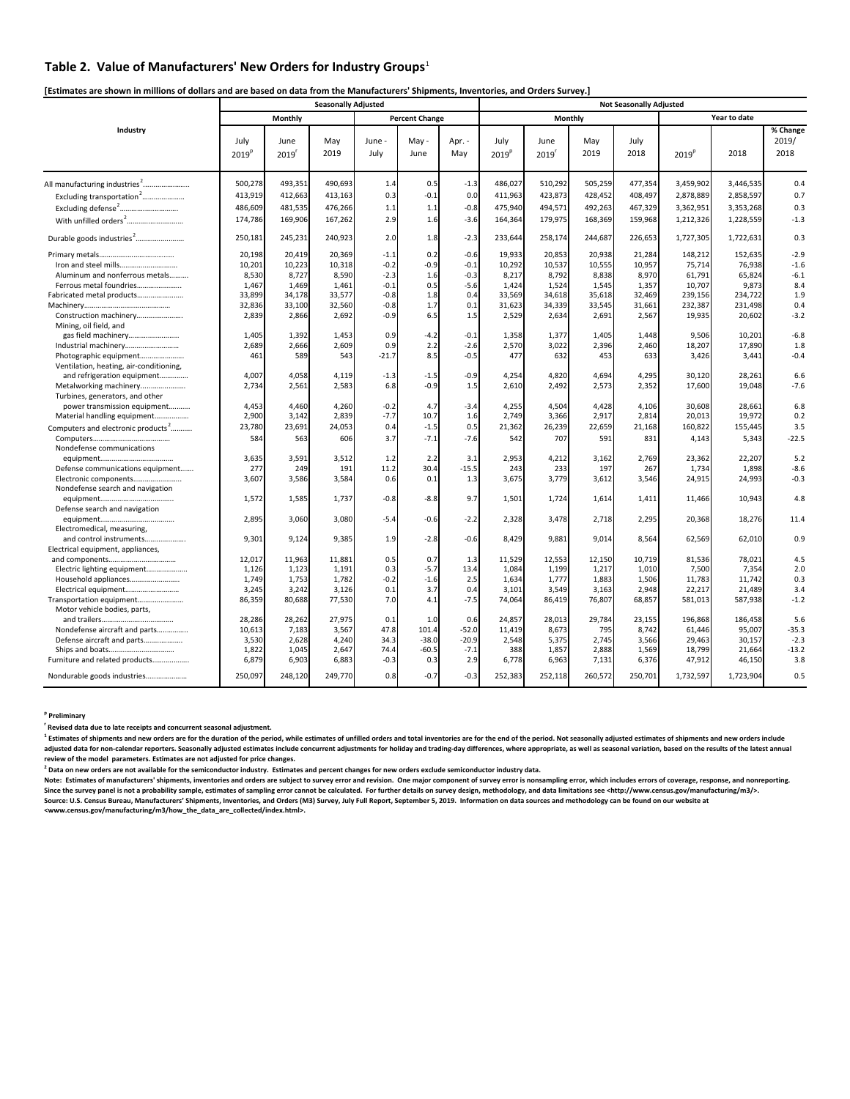### **Table 2. Value of Manufacturers' New Orders for Industry Groups**<sup>1</sup>

[Estimates are shown in millions of dollars and are based on data from the Manufacturers' Shipments, Inventories, and Orders Survey.]

|                                                                                                                                                                                                                     |                           |                 | <b>Seasonally Adjusted</b> |                |                       |                | <b>Not Seasonally Adjusted</b> |                           |               |                 |                   |                   |                                         |
|---------------------------------------------------------------------------------------------------------------------------------------------------------------------------------------------------------------------|---------------------------|-----------------|----------------------------|----------------|-----------------------|----------------|--------------------------------|---------------------------|---------------|-----------------|-------------------|-------------------|-----------------------------------------|
|                                                                                                                                                                                                                     |                           | Monthly         |                            |                | <b>Percent Change</b> |                |                                | <b>Monthly</b>            |               |                 |                   | Year to date      |                                         |
| Industry                                                                                                                                                                                                            | July<br>2019 <sup>p</sup> | June<br>2019'   | May<br>2019                | June -<br>July | May -<br>June         | Apr. -<br>May  | July<br>2019 <sup>p</sup>      | June<br>2019 <sup>r</sup> | May<br>2019   | July<br>2018    | 2019 <sup>p</sup> | 2018              | $\overline{\%}$ Change<br>2019/<br>2018 |
|                                                                                                                                                                                                                     | 500,278                   | 493,351         | 490,693                    | 1.4            | 0.5                   | $-1.3$         | 486,027                        | 510,292                   | 505,259       | 477,354         | 3,459,902         | 3,446,535         | 0.4                                     |
| Excluding transportation <sup>2</sup>                                                                                                                                                                               | 413,919                   | 412,663         | 413,163                    | 0.3            | $-0.1$                | 0.0            | 411,963                        | 423,873                   | 428,452       | 408,497         | 2,878,889         | 2,858,597         | 0.7                                     |
| $\pmb{\text{Excluding defense}^2} \label{ex} \vspace{-0.05cm} \textbf{Excluding defense}^2 \textcolor{blue}{.} \textcolor{blue}{.} \textcolor{blue}{.} \textcolor{blue}{.} \textcolor{blue}{.} \textcolor{blue}{.}$ | 486,609                   | 481,535         | 476,266                    | 1.1            | 1.1                   | $-0.8$         | 475,940                        | 494,571                   | 492,263       | 467,329         | 3,362,951         | 3,353,268         | 0.3                                     |
| With unfilled orders <sup>2</sup>                                                                                                                                                                                   | 174,786                   | 169,906         | 167,262                    | 2.9            | 1.6                   | $-3.6$         | 164,364                        | 179,975                   | 168,369       | 159,968         | 1,212,326         | 1,228,559         | $-1.3$                                  |
| Durable goods industries <sup>2</sup>                                                                                                                                                                               | 250,181                   | 245,231         | 240,923                    | 2.0            | 1.8                   | $-2.3$         | 233,644                        | 258,174                   | 244,687       | 226,653         | 1,727,305         | 1,722,631         | 0.3                                     |
|                                                                                                                                                                                                                     | 20,198                    | 20,419          | 20,369                     | $-1.1$         | 0.2                   | $-0.6$         | 19,933                         | 20,853                    | 20,938        | 21,284          | 148,212           | 152,635           | $-2.9$                                  |
|                                                                                                                                                                                                                     | 10,201                    | 10,223          | 10,318                     | $-0.2$         | $-0.9$                | $-0.1$         | 10,292                         | 10,537                    | 10,555        | 10,957          | 75,714            | 76,938            | $-1.6$                                  |
| Aluminum and nonferrous metals                                                                                                                                                                                      | 8,530                     | 8,727           | 8,590                      | $-2.3$         | 1.6                   | $-0.3$         | 8,217                          | 8,792                     | 8,838         | 8,970           | 61,791            | 65,824            | $-6.1$                                  |
| Ferrous metal foundries                                                                                                                                                                                             | 1,467                     | 1,469           | 1,461                      | $-0.1$         | 0.5                   | $-5.6$         | 1,424                          | 1,524                     | 1,545         | 1,357           | 10,707            | 9,873             | 8.4                                     |
| Fabricated metal products                                                                                                                                                                                           | 33,899                    | 34,178          | 33,577                     | $-0.8$         | 1.8                   | 0.4            | 33,569                         | 34,618                    | 35,618        | 32,469          | 239,156           | 234,722           | 1.9                                     |
|                                                                                                                                                                                                                     | 32,836                    | 33,100          | 32,560                     | $-0.8$         | 1.7                   | 0.1            | 31,623                         | 34,339                    | 33,545        | 31,661          | 232,387           | 231,498           | 0.4                                     |
| Construction machinery<br>Mining, oil field, and                                                                                                                                                                    | 2,839                     | 2,866           | 2,692                      | $-0.9$         | 6.5                   | 1.5            | 2,529                          | 2,634                     | 2,691         | 2,567           | 19,935            | 20,602            | $-3.2$                                  |
| gas field machinery                                                                                                                                                                                                 | 1,405                     | 1,392           | 1,453                      | 0.9            | $-4.2$                | $-0.1$         | 1,358                          | 1,377                     | 1,405         | 1,448           | 9,506             | 10,201            | $-6.8$                                  |
| Industrial machinery                                                                                                                                                                                                | 2,689                     | 2,666           | 2,609                      | 0.9            | 2.2                   | $-2.6$         | 2,570                          | 3,022                     | 2,396         | 2,460           | 18,207            | 17,890            | 1.8                                     |
| Photographic equipment<br>Ventilation, heating, air-conditioning,                                                                                                                                                   | 461                       | 589             | 543                        | $-21.7$        | 8.5                   | $-0.5$         | 477                            | 632                       | 453           | 633             | 3,426             | 3,441             | $-0.4$                                  |
| and refrigeration equipment                                                                                                                                                                                         | 4,007                     | 4,058           | 4,119                      | $-1.3$         | $-1.5$                | $-0.9$         | 4,254                          | 4,820                     | 4,694         | 4,295           | 30,120            | 28,261            | 6.6                                     |
| Metalworking machinery<br>Turbines, generators, and other                                                                                                                                                           | 2,734                     | 2,561           | 2,583                      | 6.8            | $-0.9$                | 1.5            | 2,610                          | 2,492                     | 2,573         | 2,352           | 17,600            | 19,048            | $-7.6$                                  |
| power transmission equipment                                                                                                                                                                                        | 4,453                     | 4,460           | 4,260                      | $-0.2$         | 4.7                   | $-3.4$         | 4,255                          | 4,504                     | 4,428         | 4,106           | 30,608            | 28,661            | 6.8                                     |
| Material handling equipment                                                                                                                                                                                         | 2,900                     | 3,142           | 2,839                      | $-7.7$         | 10.7                  | 1.6            | 2,749                          | 3,366                     | 2,917         | 2,814           | 20,013            | 19,972            | 0.2                                     |
| Computers and electronic products <sup>2</sup>                                                                                                                                                                      | 23,780                    | 23,691          | 24,053                     | 0.4            | $-1.5$                | 0.5            | 21,362                         | 26,239                    | 22,659        | 21,168          | 160,822           | 155,445           | 3.5                                     |
| Nondefense communications                                                                                                                                                                                           | 584                       | 563             | 606                        | 3.7            | $-7.1$                | $-7.6$         | 542                            | 707                       | 591           | 831             | 4,143             | 5,343             | $-22.5$                                 |
|                                                                                                                                                                                                                     | 3,635                     | 3,591           | 3,512                      | 1.2            | 2.2                   | 3.1            | 2,953                          | 4,212                     | 3,162         | 2,769           | 23,362            | 22,207            | 5.2                                     |
| Defense communications equipment                                                                                                                                                                                    | 277                       | 249             | 191                        | 11.2           | 30.4                  | $-15.5$        | 243                            | 233                       | 197           | 267             | 1,734             | 1,898             | $-8.6$                                  |
| Electronic components<br>Nondefense search and navigation                                                                                                                                                           | 3,607                     | 3,586           | 3,584                      | 0.6            | 0.1                   | 1.3            | 3,675                          | 3,779                     | 3,612         | 3,546           | 24,915            | 24,993            | $-0.3$                                  |
| Defense search and navigation                                                                                                                                                                                       | 1,572                     | 1,585           | 1,737                      | $-0.8$         | $-8.8$                | 9.7            | 1,501                          | 1,724                     | 1,614         | 1,411           | 11,466            | 10,943            | 4.8                                     |
|                                                                                                                                                                                                                     | 2,895                     | 3,060           | 3,080                      | $-5.4$         | $-0.6$                | $-2.2$         | 2,328                          | 3,478                     | 2,718         | 2,295           | 20,368            | 18,276            | 11.4                                    |
| Electromedical, measuring,<br>and control instruments                                                                                                                                                               | 9,301                     | 9,124           | 9,385                      | 1.9            | $-2.8$                | $-0.6$         | 8,429                          | 9,881                     | 9,014         | 8,564           | 62,569            | 62,010            | 0.9                                     |
| Electrical equipment, appliances,                                                                                                                                                                                   |                           |                 |                            |                |                       |                |                                |                           |               |                 |                   |                   |                                         |
|                                                                                                                                                                                                                     | 12,017                    | 11,963          | 11,881                     | 0.5            | 0.7                   | 1.3            | 11,529                         | 12,553                    | 12,150        | 10,719          | 81,536            | 78,021            | 4.5                                     |
| Electric lighting equipment                                                                                                                                                                                         | 1,126                     | 1,123           | 1,191                      | 0.3            | $-5.7$                | 13.4           | 1,084                          | 1,199                     | 1,217         | 1,010           | 7,500             | 7,354             | 2.0                                     |
| Household appliances                                                                                                                                                                                                | 1,749                     | 1,753           | 1,782                      | $-0.2$         | $-1.6$                | 2.5            | 1,634                          | 1,777                     | 1,883         | 1,506           | 11,783            | 11,742            | 0.3                                     |
| Electrical equipment                                                                                                                                                                                                | 3,245                     | 3,242           | 3,126                      | 0.1            | 3.7                   | 0.4            | 3,101                          | 3,549                     | 3,163         | 2,948           | 22,217            | 21,489            | 3.4                                     |
| Transportation equipment                                                                                                                                                                                            | 86,359                    | 80,688          | 77,530                     | 7.0            | 4.1                   | $-7.5$         | 74,064                         | 86,419                    | 76,807        | 68,857          | 581,013           | 587,938           | $-1.2$                                  |
| Motor vehicle bodies, parts,                                                                                                                                                                                        |                           |                 |                            |                |                       |                |                                |                           |               |                 |                   |                   |                                         |
| Nondefense aircraft and parts                                                                                                                                                                                       | 28,286<br>10,613          | 28,262<br>7,183 | 27,975<br>3,567            | 0.1<br>47.8    | 1.0<br>101.4          | 0.6<br>$-52.0$ | 24,857<br>11,419               | 28,013<br>8,673           | 29,784<br>795 | 23,155<br>8,742 | 196,868<br>61,446 | 186,458<br>95,007 | 5.6<br>$-35.3$                          |
| Defense aircraft and parts                                                                                                                                                                                          | 3,530                     | 2,628           | 4,240                      | 34.3           | $-38.0$               | $-20.9$        | 2,548                          | 5,375                     | 2,745         | 3,566           | 29,463            | 30,157            | $-2.3$                                  |
|                                                                                                                                                                                                                     | 1,822                     | 1,045           | 2,647                      | 74.4           | $-60.5$               | $-7.1$         | 388                            | 1,857                     | 2,888         | 1,569           | 18,799            | 21,664            | $-13.2$                                 |
| Furniture and related products                                                                                                                                                                                      | 6,879                     | 6.903           | 6,883                      | $-0.3$         | 0.3                   | 2.9            | 6,778                          | 6,963                     | 7,131         | 6,376           | 47,912            | 46,150            | 3.8                                     |
| Nondurable goods industries                                                                                                                                                                                         | 250,097                   | 248,120         | 249,770                    | 0.8            | $-0.7$                | $-0.3$         | 252,383                        | 252,118                   | 260,572       | 250,701         | 1,732,597         | 1,723,904         | 0.5                                     |

### **p Preliminary**

**r Revised data due to late receipts and concurrent seasonal adjustment.** 

<sup>1</sup> Estimates of shipments and new orders are for the duration of the period, while estimates of unfilled orders and total inventories are for the end of the period. Not seasonally adjusted estimates of shipments and new o adjusted data for non-calendar reporters. Seasonally adjusted estimates include concurrent adjustments for holiday and trading-day differences, where appropriate, as well as seasonal variation, based on the results of the **review of the model parameters. Estimates are not adjusted for price changes.** 

<sup>2</sup> Data on new orders are not available for the semiconductor industry. Estimates and percent changes for new orders exclude semiconductor industry data.<br>Note: Estimates of manufacturers' shipments, inventories and orders Since the survey panel is not a probability sample, estimates of sampling error cannot be calculated. For further details on survey design, methodology, and data limitations see <http://www.census.gov/manufacturing/m3/>. Source: U.S. Census Bureau, Manufacturers' Shipments, Inventories, and Orders (M3) Survey, July Full Report, September 5, 2019. Information on data sources and methodology can be found on our website at<br><www.census.gov/ma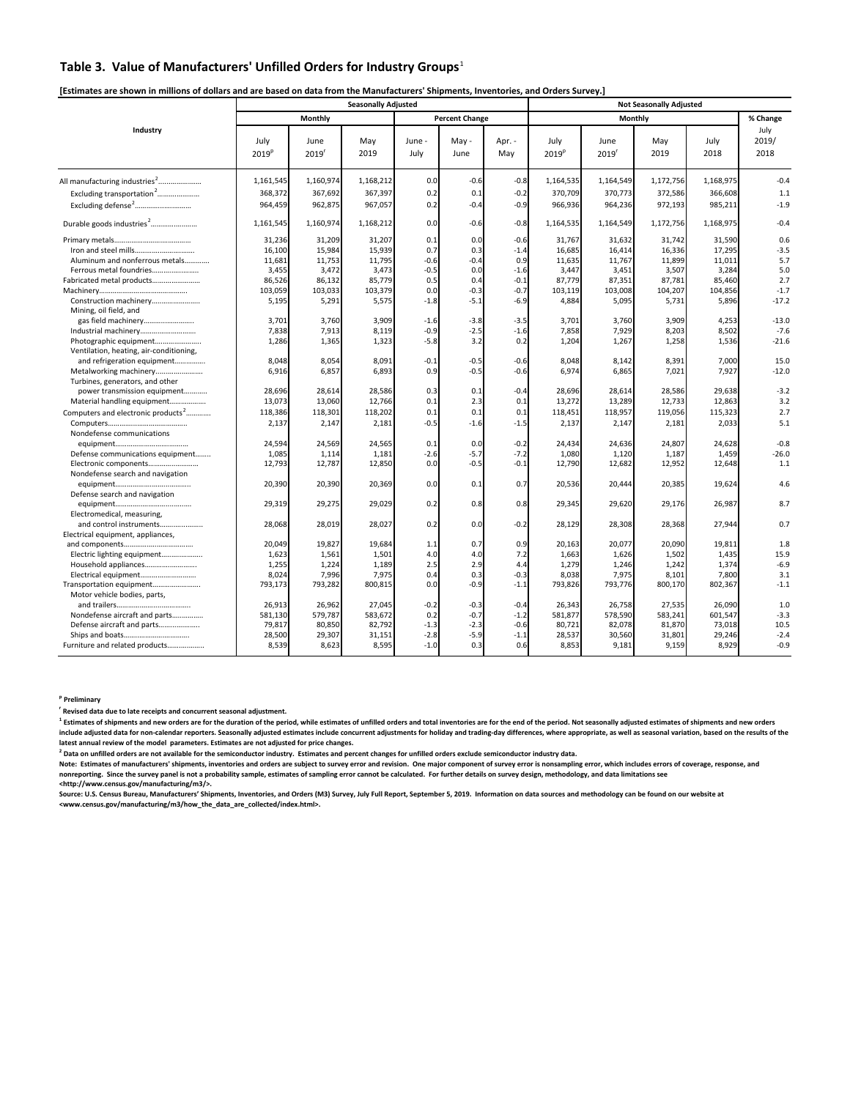### **Table 3. Value of Manufacturers' Unfilled Orders for Industry Groups**<sup>1</sup>

### [Estimates are shown in millions of dollars and are based on data from the Manufacturers' Shipments, Inventories, and Orders Survey.]

|                                                                                          |                           |                           | <b>Seasonally Adjusted</b> |                |                       |               |                           |                           | <b>Not Seasonally Adjusted</b> |              |                       |
|------------------------------------------------------------------------------------------|---------------------------|---------------------------|----------------------------|----------------|-----------------------|---------------|---------------------------|---------------------------|--------------------------------|--------------|-----------------------|
|                                                                                          |                           | Monthly                   |                            |                | <b>Percent Change</b> |               |                           |                           | Monthly                        |              | % Change              |
| Industry                                                                                 | July<br>2019 <sup>p</sup> | June<br>2019 <sup>r</sup> | May<br>2019                | June -<br>July | May -<br>June         | Apr. -<br>May | July<br>2019 <sup>p</sup> | June<br>2019 <sup>r</sup> | May<br>2019                    | July<br>2018 | July<br>2019/<br>2018 |
| All manufacturing industries <sup>2</sup>                                                | 1,161,545                 | 1,160,974                 | 1,168,212                  | 0.0            | $-0.6$                | $-0.8$        | 1,164,535                 | 1,164,549                 | 1,172,756                      | 1,168,975    | $-0.4$                |
| Excluding transportation <sup>2</sup>                                                    | 368,372                   | 367,692                   | 367,397                    | 0.2            | 0.1                   | $-0.2$        | 370,709                   | 370,773                   | 372,586                        | 366,608      | 1.1                   |
| $\pmb{\text{Excluding defense}^2} \dots \dots \dots \dots \dots \dots \dots \dots \dots$ | 964,459                   | 962,875                   | 967,057                    | 0.2            | $-0.4$                | $-0.9$        | 966,936                   | 964,236                   | 972,193                        | 985,211      | $-1.9$                |
| Durable goods industries <sup>2</sup>                                                    | 1,161,545                 | 1,160,974                 | 1,168,212                  | 0.0            | $-0.6$                | $-0.8$        | 1,164,535                 | 1,164,549                 | 1,172,756                      | 1,168,975    | $-0.4$                |
|                                                                                          | 31,236                    | 31,209                    | 31,207                     | 0.1            | 0.0                   | $-0.6$        | 31.767                    | 31,632                    | 31,742                         | 31,590       | 0.6                   |
|                                                                                          | 16.100                    | 15.984                    | 15,939                     | 0.7            | 0.3                   | $-1.4$        | 16,685                    | 16,414                    | 16.336                         | 17,295       | $-3.5$                |
| Aluminum and nonferrous metals                                                           | 11,681                    | 11,753                    | 11,795                     | $-0.6$         | $-0.4$                | 0.9           | 11,635                    | 11,767                    | 11,899                         | 11,011       | 5.7                   |
| Ferrous metal foundries                                                                  | 3,455                     | 3,472                     | 3,473                      | $-0.5$         | 0.0                   | $-1.6$        | 3,447                     | 3,451                     | 3,507                          | 3,284        | 5.0                   |
| Fabricated metal products                                                                | 86,526                    | 86,132                    | 85,779                     | 0.5            | 0.4                   | $-0.1$        | 87,779                    | 87,351                    | 87,781                         | 85,460       | 2.7                   |
|                                                                                          | 103,059                   | 103,033                   | 103,379                    | 0.0            | $-0.3$                | $-0.7$        | 103,119                   | 103,008                   | 104,207                        | 104,856      | $-1.7$                |
| Construction machinery<br>Mining, oil field, and                                         | 5,195                     | 5,291                     | 5,575                      | $-1.8$         | $-5.1$                | $-6.9$        | 4,884                     | 5,095                     | 5,731                          | 5,896        | $-17.2$               |
| gas field machinery                                                                      | 3.701                     | 3.760                     | 3,909                      | $-1.6$         | $-3.8$                | $-3.5$        | 3,701                     | 3,760                     | 3.909                          | 4,253        | $-13.0$               |
| Industrial machinery                                                                     | 7,838                     | 7,913                     | 8.119                      | $-0.9$         | $-2.5$                | $-1.6$        | 7,858                     | 7,929                     | 8.203                          | 8,502        | $-7.6$                |
| Photographic equipment<br>Ventilation, heating, air-conditioning,                        | 1,286                     | 1,365                     | 1,323                      | $-5.8$         | 3.2                   | 0.2           | 1,204                     | 1,267                     | 1,258                          | 1,536        | $-21.6$               |
| and refrigeration equipment                                                              | 8,048                     | 8,054                     | 8,091                      | $-0.1$         | $-0.5$                | $-0.6$        | 8,048                     | 8,142                     | 8,391                          | 7,000        | 15.0                  |
| Metalworking machinery                                                                   | 6,916                     | 6,857                     | 6,893                      | 0.9            | $-0.5$                | $-0.6$        | 6,974                     | 6,865                     | 7,021                          | 7,927        | $-12.0$               |
| Turbines, generators, and other                                                          |                           |                           |                            |                |                       |               |                           |                           |                                |              |                       |
| power transmission equipment                                                             | 28,696                    | 28,614                    | 28,586                     | 0.3            | 0.1                   | $-0.4$        | 28,696                    | 28,614                    | 28,586                         | 29,638       | $-3.2$                |
| Material handling equipment                                                              | 13,073                    | 13,060                    | 12,766                     | 0.1            | 2.3                   | 0.1           | 13,272                    | 13,289                    | 12,733                         | 12,863       | 3.2                   |
|                                                                                          |                           |                           |                            |                |                       |               |                           |                           |                                |              |                       |
| Computers and electronic products <sup>2</sup>                                           | 118,386                   | 118,301                   | 118,202                    | 0.1            | 0.1                   | 0.1           | 118,451                   | 118,957                   | 119,056                        | 115,323      | 2.7                   |
|                                                                                          | 2,137                     | 2,147                     | 2,181                      | $-0.5$         | $-1.6$                | $-1.5$        | 2,137                     | 2,147                     | 2,181                          | 2,033        | 5.1                   |
| Nondefense communications                                                                |                           |                           |                            |                |                       |               |                           |                           |                                |              |                       |
|                                                                                          | 24,594                    | 24,569                    | 24,565                     | 0.1            | 0.0                   | $-0.2$        | 24,434                    | 24,636                    | 24,807                         | 24,628       | $-0.8$                |
| Defense communications equipment                                                         | 1,085                     | 1,114                     | 1,181                      | $-2.6$         | $-5.7$                | $-7.2$        | 1,080                     | 1,120                     | 1,187                          | 1,459        | $-26.0$               |
| Electronic components<br>Nondefense search and navigation                                | 12,793                    | 12,787                    | 12,850                     | 0.0            | $-0.5$                | $-0.1$        | 12,790                    | 12,682                    | 12,952                         | 12,648       | 1.1                   |
|                                                                                          | 20,390                    | 20,390                    | 20,369                     | 0.0            | 0.1                   | 0.7           | 20,536                    | 20,444                    | 20,385                         | 19,624       | 4.6                   |
| Defense search and navigation                                                            | 29,319                    | 29,275                    | 29,029                     | 0.2            | 0.8                   | 0.8           | 29,345                    | 29,620                    | 29,176                         | 26,987       | 8.7                   |
| Electromedical, measuring,                                                               |                           |                           |                            |                |                       |               |                           |                           |                                |              |                       |
| and control instruments                                                                  | 28,068                    | 28,019                    | 28,027                     | 0.2            | 0.0                   | $-0.2$        | 28,129                    | 28,308                    | 28,368                         | 27,944       | 0.7                   |
| Electrical equipment, appliances,                                                        |                           |                           |                            |                |                       |               |                           |                           |                                |              |                       |
|                                                                                          | 20,049                    | 19,827                    | 19,684                     | 1.1            | 0.7                   | 0.9           | 20,163                    | 20,077                    | 20,090                         | 19,811       | 1.8                   |
| Electric lighting equipment                                                              | 1.623                     | 1.561                     | 1,501                      | 4.0            | 4.0                   | 7.2           | 1,663                     | 1,626                     | 1,502                          | 1,435        | 15.9                  |
| Household appliances                                                                     | 1,255                     | 1,224                     | 1,189                      | 2.5            | 2.9                   | 4.4           | 1,279                     | 1,246                     | 1,242                          | 1,374        | $-6.9$                |
| Electrical equipment                                                                     | 8,024                     | 7,996                     | 7,975                      | 0.4            | 0.3                   | $-0.3$        | 8,038                     | 7,975                     | 8,101                          | 7,800        | 3.1                   |
| Transportation equipment                                                                 | 793,173                   | 793,282                   | 800,815                    | 0.0            | $-0.9$                | $-1.1$        | 793,826                   | 793,776                   | 800,170                        | 802,367      | $-1.1$                |
| Motor vehicle bodies, parts,                                                             |                           |                           |                            |                |                       |               |                           |                           |                                |              |                       |
|                                                                                          | 26,913                    | 26,962                    | 27,045                     | $-0.2$         | $-0.3$                | $-0.4$        | 26,343                    | 26,758                    | 27,535                         | 26,090       | 1.0                   |
| Nondefense aircraft and parts                                                            | 581,130                   | 579,787                   | 583,672                    | 0.2            | $-0.7$                | $-1.2$        | 581,877                   | 578,590                   | 583,241                        | 601,547      | $-3.3$                |
| Defense aircraft and parts                                                               | 79,817                    | 80,850                    | 82,792                     | $-1.3$         | $-2.3$                | $-0.6$        | 80,721                    | 82,078                    | 81,870                         | 73,018       | 10.5                  |
| Ships and boats                                                                          | 28,500                    | 29,307                    | 31,151                     | $-2.8$         | $-5.9$                | $-1.1$        | 28,537                    | 30,560                    | 31,801                         | 29,246       | $-2.4$                |
| Furniture and related products                                                           | 8,539                     | 8,623                     | 8,595                      | $-1.0$         | 0.3                   | 0.6           | 8,853                     | 9.181                     | 9,159                          | 8.929        | $-0.9$                |

**p Preliminary** 

**r Revised data due to late receipts and concurrent seasonal adjustment.** 

<sup>1</sup> Estimates of shipments and new orders are for the duration of the period, while estimates of unfilled orders and total inventories are for the end of the period. Not seasonally adjusted estimates of shipments and new o include adjusted data for non-calendar reporters. Seasonally adjusted estimates include concurrent adjustments for holiday and trading-day differences, where appropriate, as well as seasonal variation, based on the results latest annual review of the model parameters. Estimates are not adjusted for price changes.

<sup>2</sup> Data on unfilled orders are not available for the semiconductor industry. Estimates and percent changes for unfilled orders exclude semiconductor industry data.

Note: Estimates of manufacturers' shipments, inventories and orders are subject to survey error and revision. One major component of survey error is nonsampling error, which includes errors of coverage, response, and<br>nonre **<http://www.census.gov/manufacturing/m3/>.** 

Source: U.S. Census Bureau, Manufacturers' Shipments, Inventories, and Orders (M3) Survey, July Full Report, September 5, 2019. Information on data sources and methodology can be found on our website at<br><www.census.gov/man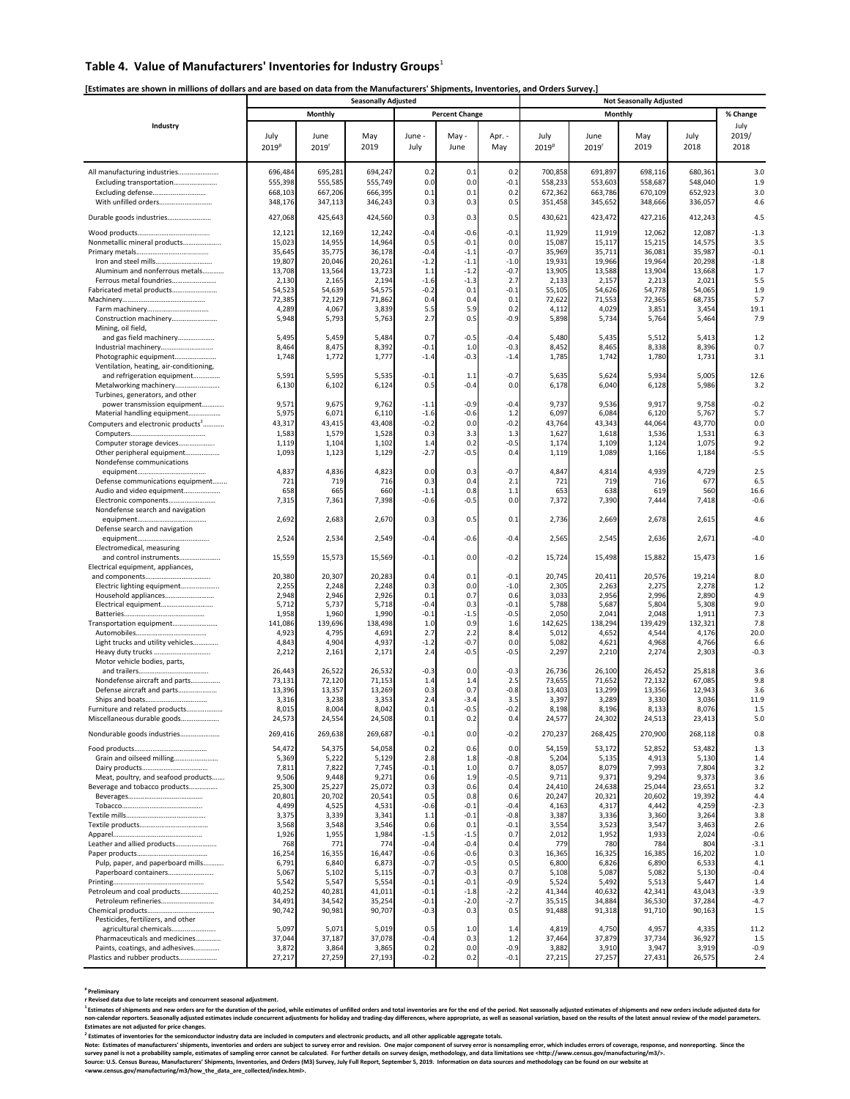### **Table 4. Value of Manufacturers' Inventories for Industry Groups**<sup>1</sup>

### [Estimates are shown in millions of dollars and are based on data from the Manufacturers' Shipments, Inventories, and Orders Survey.]

|                                                             | <b>Seasonally Adjusted</b> |                  |                  |                  |                       |                  |                   | <b>Not Seasonally Adjusted</b> |                  |                  |                  |  |  |  |
|-------------------------------------------------------------|----------------------------|------------------|------------------|------------------|-----------------------|------------------|-------------------|--------------------------------|------------------|------------------|------------------|--|--|--|
|                                                             |                            | Monthly          |                  |                  | <b>Percent Change</b> |                  |                   | Monthly                        |                  |                  | % Change         |  |  |  |
| Industry                                                    |                            |                  |                  |                  |                       |                  |                   |                                |                  |                  | July             |  |  |  |
|                                                             | July                       | June             | May              | June -           | May -                 | Apr. -           | July              | June                           | May              | July             | 2019/            |  |  |  |
|                                                             | 2019 <sup>p</sup>          | 2019'            | 2019             | July             | June                  | May              | 2019 <sup>p</sup> | 2019                           | 2019             | 2018             | 2018             |  |  |  |
|                                                             |                            |                  |                  |                  |                       |                  |                   |                                |                  |                  |                  |  |  |  |
| All manufacturing industries                                | 696,484                    | 695,281          | 694,247          | 0.2              | 0.1                   | 0.2              | 700,858           | 691,897                        | 698,116          | 680,361          | 3.0              |  |  |  |
| Excluding transportation                                    | 555.398                    | 555,585          | 555,749          | 0. <sub>C</sub>  | 0.0                   | $-0.1$           | 558,233           | 553,603                        | 558,687          | 548,040          | 1.9              |  |  |  |
| Excluding defense                                           | 668,103                    | 667,206          | 666,395          | 0.1              | 0.1                   | 0.2              | 672,362           | 663,786                        | 670,109          | 652,923          | 3.0              |  |  |  |
| With unfilled orders                                        | 348,176                    | 347,113          | 346,243          | 0.3              | 0.3                   | 0.5              | 351,458           | 345,652                        | 348,666          | 336,057          | 4.6              |  |  |  |
| Durable goods industries                                    | 427,068                    | 425,643          | 424,560          | 0.3              | 0.3                   | 0.5              | 430,621           | 423,472                        | 427,216          | 412,243          | 4.5              |  |  |  |
|                                                             |                            |                  |                  |                  |                       |                  |                   |                                |                  |                  |                  |  |  |  |
|                                                             | 12,121                     | 12,169           | 12,242           | $-0.4$           | $-0.6$                | $-0.1$           | 11,929            | 11,919                         | 12,062           | 12,087           | $-1.3$           |  |  |  |
| Nonmetallic mineral products                                | 15,023<br>35,645           | 14,955           | 14,964           | 0.5<br>$-0.4$    | $-0.1$<br>$-1.1$      | 0.0<br>$-0.7$    | 15,087<br>35,969  | 15,117<br>35,711               | 15,215<br>36,081 | 14,575<br>35,987 | 3.5<br>$-0.1$    |  |  |  |
| Iron and steel mills                                        | 19,807                     | 35,775<br>20,046 | 36,178<br>20,261 | $-1.2$           | $-1.1$                | $-1.0$           | 19,931            | 19,966                         | 19,964           | 20,298           | $-1.8$           |  |  |  |
| Aluminum and nonferrous metals                              | 13,708                     | 13,564           | 13,723           | 1.1              | $-1.2$                | $-0.7$           | 13,905            | 13,588                         | 13,904           | 13,668           | 1.7              |  |  |  |
| Ferrous metal foundries                                     | 2,130                      | 2,165            | 2,194            | $-1.6$           | $-1.3$                | 2.7              | 2,133             | 2,157                          | 2,213            | 2,021            | 5.5              |  |  |  |
| Fabricated metal products                                   | 54,523                     | 54,639           | 54,575           | $-0.2$           | 0.1                   | $-0.1$           | 55,105            | 54,626                         | 54,778           | 54,065           | 1.9              |  |  |  |
|                                                             | 72,385                     | 72,129           | 71,862           | 0.4              | 0.4                   | 0.1              | 72,622            | 71,553                         | 72,365           | 68,735           | 5.7              |  |  |  |
|                                                             | 4,289                      | 4,067            | 3,839            | 5.5              | 5.9                   | 0.2              | 4,112             | 4,029                          | 3,851            | 3,454            | 19.1             |  |  |  |
| Construction machinery                                      | 5,948                      | 5,793            | 5,763            | 2.7              | 0.5                   | $-0.9$           | 5,898             | 5,734                          | 5,764            | 5,464            | 7.9              |  |  |  |
| Mining, oil field,<br>and gas field machinery               | 5,495                      | 5,459            | 5,484            | 0.7              | $-0.5$                | $-0.4$           | 5,480             | 5,435                          | 5,512            | 5,413            | 1.2              |  |  |  |
| Industrial machinery                                        | 8,464                      | 8,475            | 8,392            | $-0.1$           | 1.0                   | $-0.3$           | 8,452             | 8,465                          | 8,338            | 8,396            | 0.7              |  |  |  |
| Photographic equipment                                      | 1,748                      | 1,772            | 1,777            | $-1.4$           | $-0.3$                | $-1.4$           | 1,785             | 1,742                          | 1,780            | 1,731            | 3.1              |  |  |  |
| Ventilation, heating, air-conditioning,                     |                            |                  |                  |                  |                       |                  |                   |                                |                  |                  |                  |  |  |  |
| and refrigeration equipment                                 | 5,591                      | 5,595            | 5,535            | $-0.1$           | 1.1                   | $-0.7$           | 5,635             | 5,624                          | 5,934            | 5,005            | 12.6             |  |  |  |
| Metalworking machinery                                      | 6,130                      | 6,102            | 6,124            | 0.5              | $-0.4$                | 0.0              | 6,178             | 6,040                          | 6,128            | 5,986            | 3.2              |  |  |  |
| Turbines, generators, and other                             | 9,571                      | 9,675            | 9,762            |                  | $-0.9$                | $-0.4$           | 9,737             | 9,536                          | 9,917            | 9,758            | $-0.2$           |  |  |  |
| power transmission equipment<br>Material handling equipment | 5,975                      | 6,071            | 6,110            | $-1.1$<br>$-1.6$ | $-0.6$                | 1.2              | 6,097             | 6,084                          | 6,120            | 5,767            | 5.7              |  |  |  |
| Computers and electronic products <sup>2</sup>              | 43,317                     | 43,415           | 43,408           | $-0.2$           | 0.0                   | $-0.2$           | 43,764            | 43,343                         | 44,064           | 43,770           | 0.0              |  |  |  |
|                                                             | 1,583                      | 1,579            | 1,528            | 0.3              | 3.3                   | 1.3              | 1,627             | 1,618                          | 1,536            | 1,531            | 6.3              |  |  |  |
| Computer storage devices                                    | 1,119                      | 1,104            | 1,102            | 1.4              | 0.2                   | $-0.5$           | 1,174             | 1,109                          | 1,124            | 1,075            | 9.2              |  |  |  |
| Other peripheral equipment                                  | 1,093                      | 1,123            | 1,129            | $-2.7$           | $-0.5$                | 0.4              | 1,119             | 1,089                          | 1,166            | 1,184            | $-5.5$           |  |  |  |
| Nondefense communications                                   |                            |                  |                  |                  |                       |                  |                   |                                |                  |                  |                  |  |  |  |
|                                                             | 4,837                      | 4,836            | 4,823            | 0. <sub>C</sub>  | 0.3                   | $-0.7$           | 4,847             | 4,814                          | 4,939            | 4,729            | 2.5              |  |  |  |
| Defense communications equipment                            | 721                        | 719              | 716              | 0.3              | 0.4                   | 2.1              | 721               | 719                            | 716              | 677              | 6.5              |  |  |  |
| Audio and video equipment                                   | 658                        | 665              | 660              | $-1.1$           | 0.8                   | 1.1              | 653               | 638                            | 619              | 560              | 16.6             |  |  |  |
| Electronic components<br>Nondefense search and navigation   | 7,315                      | 7,361            | 7,398            | $-0.6$           | $-0.5$                | 0.0              | 7,372             | 7,390                          | 7,444            | 7,418            | $-0.6$           |  |  |  |
|                                                             | 2,692                      | 2,683            | 2,670            | 0.3              | 0.5                   | 0.1              | 2,736             | 2,669                          | 2,678            | 2,615            | 4.6              |  |  |  |
| Defense search and navigation                               |                            |                  |                  |                  |                       |                  |                   |                                |                  |                  |                  |  |  |  |
|                                                             | 2,524                      | 2,534            | 2,549            | $-0.4$           | $-0.6$                | $-0.4$           | 2,565             | 2,545                          | 2,636            | 2,671            | $-4.0$           |  |  |  |
| Electromedical, measuring                                   |                            |                  |                  |                  |                       |                  |                   |                                |                  |                  |                  |  |  |  |
| and control instruments                                     | 15,559                     | 15,573           | 15,569           | $-0.1$           | 0.0                   | $-0.2$           | 15,724            | 15,498                         | 15,882           | 15,473           | 1.6              |  |  |  |
| Electrical equipment, appliances,                           |                            |                  |                  |                  |                       |                  |                   |                                |                  |                  |                  |  |  |  |
|                                                             | 20,380<br>2,255            | 20,307<br>2,248  | 20,283<br>2,248  | 0.4<br>0.3       | 0.1<br>0.0            | $-0.1$<br>$-1.0$ | 20,745<br>2,305   | 20,411<br>2,263                | 20,576<br>2,275  | 19,214<br>2,278  | 8.0<br>1.2       |  |  |  |
| Electric lighting equipment<br>Household appliances         | 2,948                      | 2,946            | 2,926            | 0.1              | 0.7                   | 0.6              | 3,033             | 2,956                          | 2,996            | 2,890            | 4.9              |  |  |  |
| Electrical equipment                                        | 5,712                      | 5,737            | 5,718            | $-0.4$           | 0.3                   | $-0.1$           | 5,788             | 5,687                          | 5,804            | 5,308            | 9.0              |  |  |  |
|                                                             | 1,958                      | 1,960            | 1,990            | $-0.1$           | $-1.5$                | $-0.5$           | 2,050             | 2,041                          | 2,048            | 1,911            | 7.3              |  |  |  |
| Transportation equipment                                    | 141,086                    | 139,696          | 138,498          | 1 <sub>c</sub>   | 0.9                   | 1.6              | 142,625           | 138,294                        | 139,429          | 132,321          | 7.8              |  |  |  |
|                                                             | 4,923                      | 4,795            | 4,691            | 2.7              | 2.2                   | 8.4              | 5,012             | 4,652                          | 4,544            | 4,176            | 20.0             |  |  |  |
| Light trucks and utility vehicles<br>Heavy duty trucks      | 4,843<br>2,212             | 4,904<br>2,161   | 4,937<br>2,171   | $-1.2$<br>2.4    | $-0.7$<br>$-0.5$      | 0.0<br>$-0.5$    | 5,082<br>2,297    | 4,621                          | 4,968<br>2,274   | 4,766<br>2,303   | 6.6<br>$-0.3$    |  |  |  |
| Motor vehicle bodies, parts,                                |                            |                  |                  |                  |                       |                  |                   | 2,210                          |                  |                  |                  |  |  |  |
|                                                             | 26,443                     | 26,522           | 26,532           | $-0.3$           | 0.0                   | $-0.3$           | 26,736            | 26,100                         | 26,452           | 25,818           | 3.6              |  |  |  |
| Nondefense aircraft and parts                               | 73,131                     | 72,120           | 71,153           | 1.4              | 1.4                   | 2.5              | 73,655            | 71,652                         | 72,132           | 67,085           | 9.8              |  |  |  |
| Defense aircraft and parts                                  | 13,396                     | 13,357           | 13,269           | 0.3              | 0.7                   | $-0.8$           | 13,403            | 13,299                         | 13,356           | 12,943           | 3.6              |  |  |  |
|                                                             | 3,316                      | 3,238            | 3,353            | 2.4              | $-3.4$                | 3.5              | 3,397             | 3,289                          | 3,330            | 3,036            | 11.9             |  |  |  |
| Furniture and related products                              | 8,015                      | 8,004            | 8,042            | 0.1              | $-0.5$                | $-0.2$           | 8,198             | 8,196                          | 8,133            | 8,076            | 1.5              |  |  |  |
| Miscellaneous durable goods                                 | 24,573                     | 24,554           | 24,508           | 0.1              | 0.2                   | 0.4              | 24,577            | 24,302                         | 24,513           | 23,413           | 5.0              |  |  |  |
| Nondurable goods industries                                 | 269,416                    | 269,638          | 269,687          | $-0.1$           | 0.0                   | $-0.2$           | 270,237           | 268,425                        | 270,900          | 268,118          | 0.8              |  |  |  |
|                                                             | 54,472                     | 54,375           | 54,058           | 0.2              | 0.6                   | 0.0              | 54,159            | 53,172                         | 52,852           | 53,482           | 1.3              |  |  |  |
| Grain and oilseed milling                                   | 5,369                      | 5,222            | 5,129            | 2.8              | 1.8                   | $-0.8$           | 5,204             | 5,135                          | 4,913            | 5,130            | 1.4              |  |  |  |
|                                                             | 7,811                      | 7,822            | 7,745            | $-0.1$           | 1.0                   | 0.7              | 8,057             | 8,079                          | 7,993            | 7,804            | 3.2              |  |  |  |
| Meat, poultry, and seafood products                         | 9,506                      | 9,448            | 9,271            | 0.6              | 1.9                   | $-0.5$           | 9,711             | 9,371                          | 9,294            | 9,373            | 3.6              |  |  |  |
| Beverage and tobacco products                               | 25,300                     | 25,227           | 25,072           | 0.3              | 0.6                   | 0.4              | 24,410            | 24,638                         | 25,044           | 23,651           | 3.2              |  |  |  |
|                                                             | 20,801                     | 20,702           | 20,541           | 0.5              | 0.8                   | 0.6              | 20,247            | 20,321                         | 20,602           | 19,392           | 4.4              |  |  |  |
|                                                             | 4,499                      | 4,525            | 4,531<br>3,341   | $-0.6$           | $-0.1$                | $-0.4$<br>$-0.8$ | 4,163             | 4,317                          | 4,442            | 4,259            | $-2.3$<br>3.8    |  |  |  |
|                                                             | 3,375<br>3,568             | 3,339<br>3,548   | 3,546            | 1.1<br>0.6       | $-0.1$<br>0.1         | $-0.1$           | 3,387<br>3,554    | 3,336<br>3,523                 | 3,360<br>3,547   | 3,264<br>3,463   | 2.6              |  |  |  |
|                                                             | 1,926                      | 1,955            | 1,984            | $-1.5$           | $-1.5$                | 0.7              | 2,012             | 1,952                          | 1,933            | 2,024            | $-0.6$           |  |  |  |
| Leather and allied products                                 | 768                        | 771              | 774              | $-0.4$           | $-0.4$                | 0.4              | 779               | 780                            | 784              | 804              | $-3.1$           |  |  |  |
|                                                             | 16,254                     | 16,355           | 16,447           | $-0.6$           | $-0.6$                | 0.3              | 16,365            | 16,325                         | 16,385           | 16,202           | 1.0              |  |  |  |
| Pulp, paper, and paperboard mills                           | 6,791                      | 6,840            | 6,873            | $-0.7$           | $-0.5$                | 0.5              | 6,800             | 6,826                          | 6,890            | 6,533            | 4.1              |  |  |  |
| Paperboard containers                                       | 5,067                      | 5,102            | 5,115            | $-0.7$           | $-0.3$                | 0.7              | 5,108             | 5,087                          | 5,082            | 5,130            | $-0.4$           |  |  |  |
|                                                             | 5,542                      | 5,547            | 5,554            | $-0.1$           | $-0.1$                | $-0.9$           | 5,524             | 5,492                          | 5,513            | 5,447            | 1.4              |  |  |  |
| Petroleum and coal products<br>Petroleum refineries         | 40,252<br>34,491           | 40,281<br>34,542 | 41,011<br>35,254 | $-0.1$<br>$-0.1$ | $-1.8$<br>$-2.0$      | $-2.2$<br>$-2.7$ | 41,344<br>35,515  | 40,632<br>34,884               | 42,341<br>36,530 | 43,043<br>37,284 | $-3.9$<br>$-4.7$ |  |  |  |
|                                                             | 90,742                     | 90,981           | 90,707           | $-0.3$           | 0.3                   | 0.5              | 91,488            | 91,318                         | 91,710           | 90,163           | 1.5              |  |  |  |
| Pesticides, fertilizers, and other                          |                            |                  |                  |                  |                       |                  |                   |                                |                  |                  |                  |  |  |  |
| agricultural chemicals                                      | 5,097                      | 5,071            | 5,019            | 0.5              | 1.0                   | 1.4              | 4,819             | 4,750                          | 4,957            | 4,335            | 11.2             |  |  |  |
| Pharmaceuticals and medicines                               | 37,044                     | 37,187           | 37,078           | $-0.4$           | 0.3                   | 1.2              | 37,464            | 37,879                         | 37,734           | 36,927           | 1.5              |  |  |  |
| Paints, coatings, and adhesives                             | 3,872                      | 3,864            | 3,865            | 0.2              | 0.0                   | $-0.9$           | 3,882             | 3,910                          | 3,947            | 3,919            | $-0.9$           |  |  |  |
| Plastics and rubber products                                | 27,217                     | 27,259           | 27,193           | $-0.2$           | 0.2                   | $-0.1$           | 27,215            | 27,257                         | 27,431           | 26,575           | 2.4              |  |  |  |

<sup>s</sup> Preliminary<br>r Revised due to late receipts and concurrent seasonal adjustment.<br>"Estimates of shipments and new orders are for the duration of the period, while estimates of unfilled orders and total inventories are for sammees or suppress and medical divided estimates include concurrent adjustments for holiday and trading-day differences, where appropriate, as well as seasonal variation, based on the results of the latest annual review o

<sup>2</sup> Estimates of inventories for the semiconductor industry data are included in computers and electronic products, and all other applicable aggregate totals.<br>Note: Estimates of manufacturers' shipments, inventories and or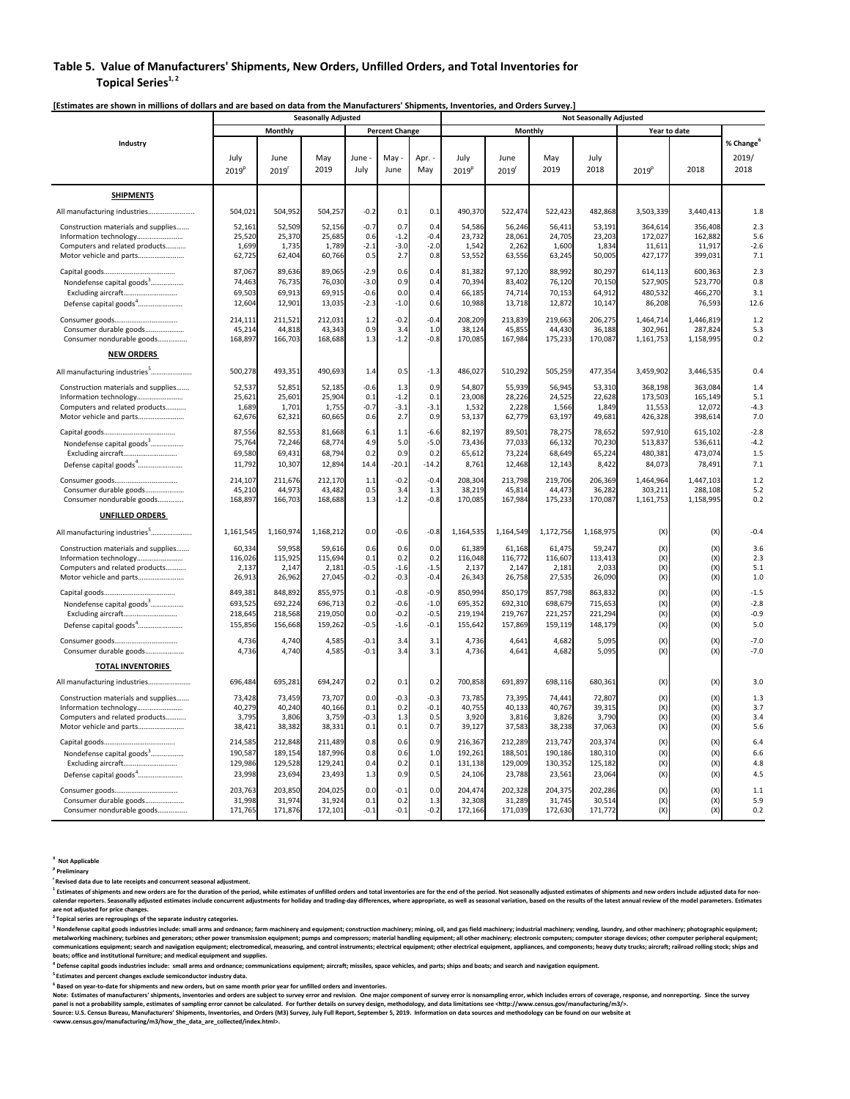### **Table 5. Value of Manufacturers' Shipments, New Orders, Unfilled Orders, and Total Inventories for Topical Series**<sup>1, 2</sup>

|                                                                                                                                                                                           |                                                                       |                                                                       | <b>Seasonally Adjusted</b>                                            |                                                     |                                                              |                                                              | <b>Not Seasonally Adjusted</b>                                        |                                                                       |                                                                       |                                                                       |                                               |                                               |                                                        |
|-------------------------------------------------------------------------------------------------------------------------------------------------------------------------------------------|-----------------------------------------------------------------------|-----------------------------------------------------------------------|-----------------------------------------------------------------------|-----------------------------------------------------|--------------------------------------------------------------|--------------------------------------------------------------|-----------------------------------------------------------------------|-----------------------------------------------------------------------|-----------------------------------------------------------------------|-----------------------------------------------------------------------|-----------------------------------------------|-----------------------------------------------|--------------------------------------------------------|
|                                                                                                                                                                                           |                                                                       | Monthly                                                               |                                                                       |                                                     | <b>Percent Change</b>                                        |                                                              |                                                                       | Monthly                                                               |                                                                       |                                                                       |                                               | Year to date                                  |                                                        |
| Industry                                                                                                                                                                                  | July<br>2019 <sup>p</sup>                                             | June<br>2019'                                                         | May<br>2019                                                           | June-<br>July                                       | May<br>June                                                  | Apr. -<br>May                                                | July<br>2019 <sup>p</sup>                                             | June<br>2019                                                          | May<br>2019                                                           | July<br>2018                                                          | 2019 <sup>p</sup>                             | 2018                                          | % Change <sup>6</sup><br>2019/<br>2018                 |
| <b>SHIPMENTS</b>                                                                                                                                                                          |                                                                       |                                                                       |                                                                       |                                                     |                                                              |                                                              |                                                                       |                                                                       |                                                                       |                                                                       |                                               |                                               |                                                        |
| All manufacturing industries                                                                                                                                                              | 504,021                                                               | 504,952                                                               | 504,257                                                               | $-0.2$                                              | 0.1                                                          | 0.1                                                          | 490,370                                                               | 522,474                                                               | 522,423                                                               | 482,868                                                               | 3,503,339                                     | 3,440,413                                     | 1.8                                                    |
| Construction materials and supplies<br>Information technology<br>Computers and related products<br>Motor vehicle and parts                                                                | 52,161<br>25,520<br>1,699<br>62,725                                   | 52,509<br>25,370<br>1,735<br>62,404                                   | 52,156<br>25,685<br>1,789<br>60,766                                   | $-0.7$<br>0.6<br>$-2.1$<br>0.5                      | 0.7<br>$-1.2$<br>$-3.0$<br>2.7                               | 0.4<br>$-0.4$<br>$-2.0$<br>0.8                               | 54,586<br>23,732<br>1,542<br>53,552                                   | 56,246<br>28,061<br>2,262<br>63,556                                   | 56,411<br>24,705<br>1,600<br>63,245                                   | 53,191<br>23,203<br>1,834<br>50,005                                   | 364,614<br>172,027<br>11,611<br>427,177       | 356,408<br>162,882<br>11,917<br>399,031       | 2.3<br>5.6<br>$-2.6$<br>7.1                            |
| Nondefense capital goods <sup>3</sup><br>Excluding aircraft<br>Defense capital goods <sup>4</sup>                                                                                         | 87,067<br>74,463<br>69,503<br>12,604                                  | 89,636<br>76,735<br>69,913<br>12,901                                  | 89,065<br>76,030<br>69,915<br>13,035                                  | $-2.9$<br>$-3.0$<br>$-0.6$<br>$-2.3$                | 0.6<br>0.9<br>0.0<br>$-1.0$                                  | 0.4<br>0.4<br>0.4<br>0.6                                     | 81,382<br>70,394<br>66,185<br>10,988                                  | 97,120<br>83,402<br>74,714<br>13,718                                  | 88,992<br>76,120<br>70,153<br>12,872                                  | 80,297<br>70,150<br>64,912<br>10,147                                  | 614,113<br>527,905<br>480,532<br>86,208       | 600,363<br>523,770<br>466,270<br>76,593       | 2.3<br>0.8<br>3.1<br>12.6                              |
| Consumer durable goods<br>Consumer nondurable goods                                                                                                                                       | 214,111<br>45,214<br>168,897                                          | 211,521<br>44,818<br>166,703                                          | 212,031<br>43,343<br>168,688                                          | 1.2<br>0.9<br>1.3                                   | $-0.2$<br>3.4<br>$-1.2$                                      | $-0.4$<br>1.0<br>$-0.8$                                      | 208,209<br>38,124<br>170,085                                          | 213,839<br>45,855<br>167,984                                          | 219,663<br>44,430<br>175,233                                          | 206,275<br>36,188<br>170,087                                          | 1,464,714<br>302,961<br>1,161,753             | 1,446,819<br>287,824<br>1,158,995             | 1.2<br>5.3<br>0.2                                      |
| <b>NEW ORDERS</b>                                                                                                                                                                         |                                                                       |                                                                       |                                                                       |                                                     |                                                              |                                                              |                                                                       |                                                                       |                                                                       |                                                                       |                                               |                                               |                                                        |
| All manufacturing industries <sup>5</sup>                                                                                                                                                 | 500,278                                                               | 493,351                                                               | 490,693                                                               | 1.4                                                 | 0.5                                                          | $-1.3$                                                       | 486,027                                                               | 510,292                                                               | 505,259                                                               | 477,354                                                               | 3,459,902                                     | 3,446,535                                     | 0.4                                                    |
| Construction materials and supplies<br>Information technology<br>Computers and related products<br>Motor vehicle and parts                                                                | 52,537<br>25.621<br>1,689<br>62,676                                   | 52,851<br>25,60<br>1,70<br>62,321                                     | 52,185<br>25,904<br>1,755<br>60,665                                   | $-0.6$<br>0.1<br>$-0.7$<br>0.6                      | 1.3<br>$-1.2$<br>$-3.1$<br>2.7                               | 0.9<br>0.1<br>$-3.1$<br>0.9                                  | 54,807<br>23,008<br>1,532<br>53,137                                   | 55,939<br>28,226<br>2,228<br>62,779                                   | 56,945<br>24,525<br>1,566<br>63,197                                   | 53,310<br>22,628<br>1,849<br>49,681                                   | 368,198<br>173,503<br>11,553<br>426,328       | 363,084<br>165,149<br>12,072<br>398,614       | 1.4<br>5.1<br>$-4.3$<br>7.0                            |
| Nondefense capital goods <sup>3</sup><br>Excluding aircraft<br>Defense capital goods <sup>4</sup>                                                                                         | 87,556<br>75,764<br>69,580<br>11,792                                  | 82,553<br>72,246<br>69,431<br>10,307                                  | 81,668<br>68,774<br>68,794<br>12,894                                  | 6.1<br>4.9<br>0.2<br>14.4                           | 1.1<br>5.0<br>0.9<br>$-20.1$                                 | $-6.6$<br>$-5.0$<br>0.2<br>$-14.2$                           | 82,197<br>73,436<br>65,612<br>8,761                                   | 89,501<br>77,033<br>73,224<br>12,468                                  | 78,275<br>66,132<br>68,649<br>12,143                                  | 78,652<br>70,230<br>65,224<br>8,422                                   | 597,910<br>513,837<br>480,381<br>84,073       | 615,102<br>536,611<br>473,074<br>78,491       | $-2.8$<br>$-4.2$<br>1.5<br>7.1                         |
| Consumer durable goods<br>Consumer nondurable goods                                                                                                                                       | 214,107<br>45,210<br>168,897                                          | 211,676<br>44,973<br>166,703                                          | 212,170<br>43,482<br>168,688                                          | 1.1<br>0.5<br>1.3                                   | $-0.2$<br>3.4<br>$-1.2$                                      | $-0.4$<br>1.3<br>$-0.8$                                      | 208,304<br>38,219<br>170,085                                          | 213,798<br>45,814<br>167,984                                          | 219,706<br>44,473<br>175,233                                          | 206,369<br>36,282<br>170,087                                          | 1,464,964<br>303,211<br>1,161,753             | 1,447,103<br>288,108<br>1,158,995             | 1.2<br>5.2<br>0.2                                      |
| <b>UNFILLED ORDERS</b>                                                                                                                                                                    |                                                                       |                                                                       |                                                                       |                                                     |                                                              |                                                              |                                                                       |                                                                       |                                                                       |                                                                       |                                               |                                               |                                                        |
| All manufacturing industries <sup>5</sup>                                                                                                                                                 | 1,161,54                                                              | 1,160,974                                                             | 1,168,212                                                             | 0.0                                                 | $-0.6$                                                       | $-0.8$                                                       | 1,164,535                                                             | 1,164,549                                                             | 1,172,756                                                             | 1,168,975                                                             | (X)                                           | (X)                                           | $-0.4$                                                 |
| Construction materials and supplies<br>Information technology<br>Computers and related products<br>Motor vehicle and parts<br>Nondefense capital goods <sup>3</sup><br>Excluding aircraft | 60,334<br>116,026<br>2,137<br>26,913<br>849,381<br>693,525<br>218,645 | 59,958<br>115,925<br>2,147<br>26,962<br>848,892<br>692,224<br>218,568 | 59,616<br>115,694<br>2,181<br>27,045<br>855,975<br>696,713<br>219,050 | 0.6<br>0.1<br>$-0.5$<br>$-0.2$<br>0.1<br>0.2<br>0.0 | 0.6<br>0.2<br>$-1.6$<br>$-0.3$<br>$-0.8$<br>$-0.6$<br>$-0.2$ | 0.0<br>0.2<br>$-1.5$<br>$-0.4$<br>$-0.9$<br>$-1.0$<br>$-0.5$ | 61,389<br>116,048<br>2,137<br>26,343<br>850,994<br>695,352<br>219,194 | 61,168<br>116,772<br>2,147<br>26,758<br>850,179<br>692,310<br>219,767 | 61,475<br>116,607<br>2,181<br>27,535<br>857,798<br>698,679<br>221,257 | 59,247<br>113,413<br>2,033<br>26,090<br>863,832<br>715,653<br>221,294 | (X)<br>(X)<br>(X)<br>(X)<br>(X)<br>(X)<br>(X) | (X)<br>(X)<br>(X)<br>(X)<br>(X)<br>(X)<br>(X) | 3.6<br>2.3<br>5.1<br>1.0<br>$-1.5$<br>$-2.8$<br>$-0.9$ |
| Defense capital goods <sup>4</sup>                                                                                                                                                        | 155,856                                                               | 156,668                                                               | 159,262                                                               | $-0.5$                                              | $-1.6$                                                       | $-0.1$                                                       | 155,642                                                               | 157,869                                                               | 159,119                                                               | 148,179                                                               | (X)                                           | (X)                                           | 5.0                                                    |
| Consumer durable goods                                                                                                                                                                    | 4.736<br>4,736                                                        | 4.740<br>4,740                                                        | 4.585<br>4,585                                                        | $-0.1$<br>$-0.1$                                    | 3.4<br>3.4                                                   | 3.1<br>3.1                                                   | 4.736<br>4,736                                                        | 4.641<br>4,641                                                        | 4.682<br>4,682                                                        | 5.095<br>5,095                                                        | (X)<br>(X)                                    | (X)<br>(X)                                    | $-7.0$<br>$-7.0$                                       |
| <b>TOTAL INVENTORIES</b>                                                                                                                                                                  |                                                                       |                                                                       |                                                                       |                                                     |                                                              |                                                              |                                                                       |                                                                       |                                                                       |                                                                       |                                               |                                               |                                                        |
| All manufacturing industries                                                                                                                                                              | 696,484                                                               | 695,281                                                               | 694,247                                                               | 0.2                                                 | 0.1                                                          | 0.2                                                          | 700,858                                                               | 691,897                                                               | 698,116                                                               | 680,361                                                               | (X)                                           | (X)                                           | 3.0                                                    |
| Construction materials and supplies<br>Information technology<br>Computers and related products<br>Motor vehicle and parts                                                                | 73,428<br>40,279<br>3,795<br>38,421                                   | 73,459<br>40,240<br>3,806<br>38,382                                   | 73,707<br>40,166<br>3,759<br>38,331                                   | 0.0<br>0.1<br>$-0.3$<br>0.1                         | $-0.3$<br>0.2<br>1.3<br>0.1                                  | $-0.3$<br>$-0.1$<br>0.5<br>0.7                               | 73,785<br>40,755<br>3,920<br>39,127                                   | 73,395<br>40,133<br>3,816<br>37,583                                   | 74,441<br>40,767<br>3,826<br>38,238                                   | 72,807<br>39,315<br>3,790<br>37,063                                   | (X)<br>(X)<br>(X)<br>(X)                      | (X)<br>(X)<br>(X)<br>(X)                      | 1.3<br>3.7<br>3.4<br>5.6                               |
| Nondefense capital goods <sup>3</sup><br>Excluding aircraft<br>Defense capital goods <sup>4</sup>                                                                                         | 214,585<br>190,587<br>129,986<br>23,998                               | 212,848<br>189,154<br>129,528<br>23,694                               | 211,489<br>187,996<br>129,241<br>23,493                               | 0.8<br>0.8<br>0.4<br>1.3                            | 0.6<br>0.6<br>0.2<br>0.9                                     | 0.9<br>$1.0$<br>0.1<br>0.5                                   | 216,367<br>192,261<br>131,138<br>24,106                               | 212,289<br>188,501<br>129,009<br>23,788                               | 213,747<br>190,186<br>130,352<br>23,561                               | 203,374<br>180,310<br>125,182<br>23,064                               | (X)<br>(X)<br>(X)<br>(X)                      | (X)<br>(X)<br>(X)<br>(X)                      | 6.4<br>6.6<br>4.8<br>4.5                               |
| Consumer goods<br>Consumer durable goods<br>Consumer nondurable goods                                                                                                                     | 203,763<br>31,998<br>171,765                                          | 203,850<br>31,974<br>171,876                                          | 204,025<br>31,924<br>172,101                                          | 0.0<br>0.1<br>$-0.1$                                | $-0.1$<br>0.2<br>$-0.1$                                      | 0.0<br>1.3<br>$-0.2$                                         | 204,474<br>32,308<br>172,166                                          | 202,328<br>31,289<br>171,039                                          | 204,375<br>31,745<br>172,630                                          | 202,286<br>30,514<br>171,772                                          | (X)<br>(X)<br>(X)                             | (X)<br>(X)<br>(X)                             | 1.1<br>5.9<br>0.2                                      |

[Estimates are shown in millions of dollars and are based on data from the Manufacturers' Shipments, Inventories, and Orders Survey.]

**X Not Applicable** 

**p Preliminary r Revised data due to late receipts and concurrent seasonal adjustment.** 

<sup>1</sup> Estimates of shipments and new orders are for the duration of the period, while estimates of unfilled orders and total inventories are for the end of the period. Not seasonally adjusted estimates of shipments and new o calendar reporters. Seasonally adjusted estimates include concurrent adjustments for holiday and trading-day differences, where appropriate, as well as seasonal variation, based on the results of the latest annual review o **are not adjusted for price changes.** 

**2 Topical series are regroupings of the separate industry categories.** 

<sup>3</sup> Nondefense capital goods industries include: small arms and ordnance; farm machinery and equipment; construction machinery; mining, oil, and gas field machinery; industrial machinery; vending, laundry, and other machin metalworking machinery; turbines and generators; other power transmission equipment; pumps and compressors; material handling equipment; all other machinery; electronic computers; computer storage devices; other computer p

<sup>4</sup> Defense capital goods industries include: small arms and ordnance; communications equipment; aircraft; missiles, space vehicles, and parts; ships and boats; and search and navigation equipment.

**5 Estimates and percent changes exclude semiconductor industry data.** 

**6 Based on year‐to‐date for shipments and new orders, but on same month prior year for unfilled orders and inventories.** 

Note: Estimates of manufacturers' shipments, inventories and orders are subject to survey error and revision. One major component of survey error is nonsampling error, which includes errors of coverage, response, and nonre

Source: U.S. Census Bureau, Manufacturers' Shipments, Inventories, and Orders (M3) Survey, July Full Report, September 5, 2019. Information on data sources and methodology can be found on our website at<br><www.census.gov/man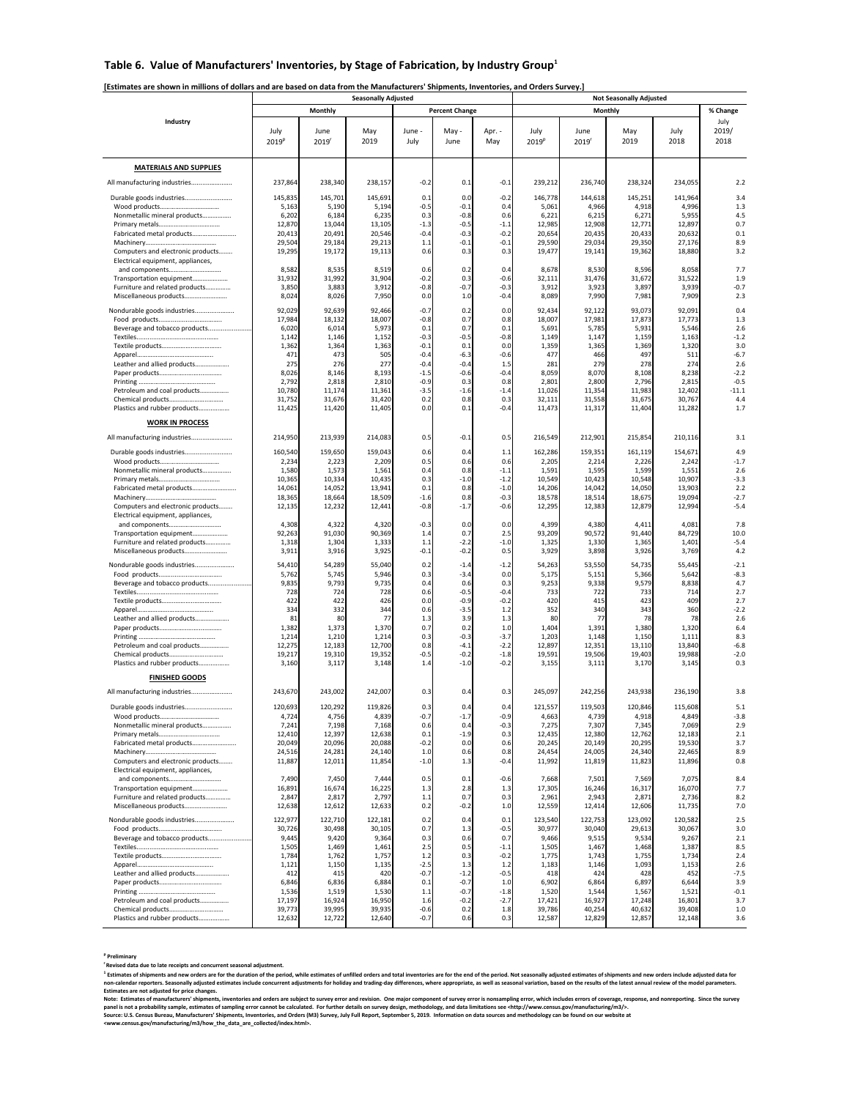### Table 6. Value of Manufacturers' Inventories, by Stage of Fabrication, by Industry Group<sup>1</sup>

### [Estimates are shown in millions of dollars and are based on data from the Manufacturers' Shipments, Inventories, and Orders Survey.]

|                                                                        |                   |                   | <b>Seasonally Adjusted</b> |                  |                       | <b>Not Seasonally Adjusted</b> |                   |                 |                 |                 |                  |  |
|------------------------------------------------------------------------|-------------------|-------------------|----------------------------|------------------|-----------------------|--------------------------------|-------------------|-----------------|-----------------|-----------------|------------------|--|
|                                                                        |                   | Monthly           |                            |                  | <b>Percent Change</b> |                                |                   |                 | Monthly         |                 | % Change         |  |
| Industry                                                               |                   |                   |                            |                  |                       |                                |                   |                 |                 |                 | July             |  |
|                                                                        | July              | June              | May<br>2019                | June -           | May -<br>June         | Apr. -                         | July              | June            | May<br>2019     | July<br>2018    | 2019/<br>2018    |  |
|                                                                        | 2019 <sup>p</sup> | 2019 <sup>r</sup> |                            | July             |                       | May                            | 2019 <sup>p</sup> | 2019            |                 |                 |                  |  |
|                                                                        |                   |                   |                            |                  |                       |                                |                   |                 |                 |                 |                  |  |
| <b>MATERIALS AND SUPPLIES</b>                                          |                   |                   |                            |                  |                       |                                |                   |                 |                 |                 |                  |  |
| All manufacturing industries                                           | 237,864           | 238,340           | 238,157                    | $-0.2$           | 0.1                   | $-0.1$                         | 239,212           | 236,740         | 238,324         | 234,055         | 2.2              |  |
| Durable goods industries                                               | 145,835           | 145,701           | 145,691                    | 0.1              | 0.0                   | $-0.2$                         | 146,778           | 144,618         | 145,251         | 141,964         | 3.4              |  |
| Nonmetallic mineral products                                           | 5,163<br>6,202    | 5,190<br>6,184    | 5,194<br>6,235             | $-0.5$<br>0.3    | $-0.1$<br>$-0.8$      | 0.4<br>0.6                     | 5,061<br>6,221    | 4,966<br>6,215  | 4,918<br>6,271  | 4,996<br>5,955  | 1.3<br>4.5       |  |
|                                                                        | 12,870            | 13,044            | 13,105                     | $-1.3$           | $-0.5$                | $-1.1$                         | 12,985            | 12,908          | 12,771          | 12,897          | 0.7              |  |
| Fabricated metal products                                              | 20,413            | 20,491            | 20,546                     | $-0.4$           | $-0.3$                | $-0.2$                         | 20,654            | 20,435          | 20,433          | 20,632          | 0.1              |  |
|                                                                        | 29,504            | 29,184            | 29,213                     | 1.1              | $-0.1$                | $-0.1$                         | 29,590            | 29,034          | 29,350          | 27,176          | 8.9              |  |
| Computers and electronic products<br>Electrical equipment, appliances, | 19,295            | 19,172            | 19,113                     | 0.6              | 0.3                   | 0.3                            | 19,477            | 19,141          | 19,362          | 18,880          | 3.2              |  |
| and components                                                         | 8,582             | 8,535             | 8,519                      | 0.6              | 0.2                   | 0.4                            | 8,678             | 8,530           | 8,596           | 8,058           | 7.7              |  |
| Transportation equipment                                               | 31,932            | 31,992            | 31,904                     | $-0.2$<br>$-0.8$ | 0.3<br>$-0.7$         | $-0.6$<br>$-0.3$               | 32,111            | 31,476          | 31,672          | 31,522          | 1.9<br>$-0.7$    |  |
| Furniture and related products<br>Miscellaneous products               | 3,850<br>8,024    | 3,883<br>8,026    | 3,912<br>7,950             | 0.0              | 1.0                   | $-0.4$                         | 3,912<br>8,089    | 3,923<br>7,990  | 3,897<br>7,981  | 3,939<br>7,909  | 2.3              |  |
| Nondurable goods industries                                            | 92,029            | 92,639            | 92,466                     | $-0.7$           | 0.2                   | 0.0                            | 92,434            | 92,122          | 93,073          | 92,091          | 0.4              |  |
|                                                                        | 17,984            | 18,132            | 18,007                     | $-0.8$           | 0.7                   | 0.8                            | 18,007            | 17,981          | 17,873          | 17,773          | 1.3              |  |
| Beverage and tobacco products                                          | 6,020             | 6,014             | 5,973                      | 0.1              | 0.7                   | 0.1                            | 5,691             | 5,785           | 5,931           | 5,546           | 2.6              |  |
|                                                                        | 1,142<br>1,362    | 1,146<br>1,364    | 1,152<br>1,363             | $-0.3$<br>$-0.1$ | $-0.5$<br>0.1         | $-0.8$<br>0.0                  | 1,149<br>1,359    | 1,147<br>1,365  | 1,159<br>1,369  | 1,163<br>1,320  | $-1.2$<br>3.0    |  |
|                                                                        | 471               | 473               | 505                        | $-0.4$           | $-6.3$                | $-0.6$                         | 477               | 466             | 497             | 511             | $-6.7$           |  |
| Leather and allied products                                            | 275               | 276               | 277                        | $-0.4$           | $-0.4$                | 1.5                            | 281               | 279             | 278             | 274             | 2.6              |  |
|                                                                        | 8,026<br>2,792    | 8,146<br>2,818    | 8,193<br>2,810             | $-1.5$<br>$-0.9$ | $-0.6$<br>0.3         | $-0.4$<br>0.8                  | 8,059<br>2,801    | 8,07<br>2,800   | 8,108<br>2,796  | 8,238<br>2,815  | $-2.2$<br>$-0.5$ |  |
| Petroleum and coal products                                            | 10,780            | 11,174            | 11,361                     | $-3.5$           | $-1.6$                | $-1.4$                         | 11,026            | 11,354          | 11,983          | 12,402          | $-11.1$          |  |
|                                                                        | 31,752            | 31,676            | 31,420                     | 0.2              | 0.8                   | 0.3                            | 32,111            | 31,558          | 31,675          | 30,767          | 4.4              |  |
| Plastics and rubber products                                           | 11,425            | 11,420            | 11,405                     | 0.0              | 0.1                   | $-0.4$                         | 11,473            | 11,317          | 11,404          | 11,282          | 1.7              |  |
| <b>WORK IN PROCESS</b>                                                 |                   |                   |                            |                  |                       |                                |                   |                 |                 |                 |                  |  |
| All manufacturing industries                                           | 214,950           | 213,939           | 214,083                    | 0.5              | $-0.1$                | 0.5                            | 216,549           | 212,901         | 215,854         | 210,116         | 3.1              |  |
| Durable goods industries                                               | 160,540           | 159,650           | 159,043                    | 0.6              | 0.4                   | 1.1                            | 162,286           | 159,351         | 161,119         | 154,671         | 4.9              |  |
|                                                                        | 2,234             | 2,223             | 2,209                      | 0.5              | 0.6                   | 0.6                            | 2,205             | 2,214           | 2,226           | 2,242           | $-1.7$           |  |
| Nonmetallic mineral products                                           | 1,580<br>10,365   | 1,573<br>10,334   | 1,561<br>10,435            | 0.4<br>0.3       | 0.8<br>$-1.0$         | $-1.1$<br>$-1.2$               | 1,591<br>10,549   | 1,595<br>10,423 | 1,599<br>10,548 | 1,551<br>10,907 | 2.6<br>$-3.3$    |  |
| Fabricated metal products                                              | 14,061            | 14,052            | 13,941                     | 0.1              | 0.8                   | $-1.0$                         | 14,206            | 14,042          | 14,050          | 13,903          | 2.2              |  |
|                                                                        | 18,365            | 18,664            | 18,509                     | $-1.6$           | 0.8                   | $-0.3$                         | 18,578            | 18,514          | 18,675          | 19,094          | $-2.7$           |  |
| Computers and electronic products<br>Electrical equipment, appliances, | 12,135            | 12,232            | 12,441                     | $-0.8$           | $-1.7$                | $-0.6$                         | 12,295            | 12,383          | 12,879          | 12,994          | $-5.4$           |  |
| and components                                                         | 4,308             | 4,322             | 4,320                      | $-0.3$           | 0.0                   | 0.0                            | 4,399             | 4,380           | 4,411           | 4,081           | 7.8              |  |
| Transportation equipment                                               | 92,263            | 91,030            | 90,369                     | 1.4              | 0.7                   | 2.5                            | 93,209            | 90,572          | 91,440          | 84,729          | 10.0             |  |
| Furniture and related products<br>Miscellaneous products               | 1,318<br>3,911    | 1,304<br>3,916    | 1,333<br>3,925             | 1.1<br>$-0.1$    | $-2.2$<br>$-0.2$      | $-1.0$<br>0.5                  | 1,325<br>3,929    | 1,330<br>3,898  | 1,365<br>3,926  | 1,401<br>3,769  | $-5.4$<br>4.2    |  |
|                                                                        |                   |                   |                            |                  |                       |                                |                   |                 |                 |                 |                  |  |
| Nondurable goods industries                                            | 54,410<br>5,762   | 54,289<br>5,745   | 55,040<br>5,946            | 0.2<br>0.3       | $-1.4$<br>$-3.4$      | $-1.2$<br>0.0                  | 54,263<br>5,175   | 53,550<br>5,15  | 54,735<br>5,366 | 55,445<br>5,642 | $-2.1$<br>$-8.3$ |  |
| Beverage and tobacco products                                          | 9,835             | 9,793             | 9,735                      | 0.4              | 0.6                   | 0.3                            | 9,253             | 9,338           | 9,579           | 8,838           | 4.7              |  |
|                                                                        | 728               | 724               | 728                        | 0.6              | $-0.5$                | $-0.4$                         | 733               | 722             | 733             | 714             | 2.7              |  |
|                                                                        | 422<br>334        | 422<br>332        | 426<br>344                 | 0.0<br>0.6       | $-0.9$<br>$-3.5$      | $-0.2$<br>1.2                  | 420<br>352        | 415<br>34       | 423<br>343      | 409<br>360      | 2.7<br>$-2.2$    |  |
| Leather and allied products                                            | 81                | 80                | 77                         | 1.3              | 3.9                   | 1.3                            | 80                | 7               | 78              | 78              | 2.6              |  |
|                                                                        | 1,382<br>1,214    | 1,373<br>1,210    | 1,370<br>1,214             | 0.7<br>0.3       | 0.2<br>$-0.3$         | 1.0<br>$-3.7$                  | 1,404<br>1,203    | 1,391<br>1,148  | 1,380<br>1,150  | 1,320<br>1,111  | 6.4<br>8.3       |  |
| Petroleum and coal products                                            | 12,275            | 12,183            | 12,700                     | 0.8              | $-4.1$                | $-2.2$                         | 12,897            | 12,351          | 13,110          | 13,840          | $-6.8$           |  |
|                                                                        | 19,217            | 19,310            | 19,352                     | $-0.5$           | $-0.2$                | $-1.8$                         | 19,591            | 19,506          | 19,403          | 19,988          | $-2.0$           |  |
| Plastics and rubber products                                           | 3,160             | 3,117             | 3,148                      | 1.4              | $-1.0$                | $-0.2$                         | 3,155             | 3,111           | 3,170           | 3,145           | 0.3              |  |
| <b>FINISHED GOODS</b>                                                  |                   |                   |                            |                  |                       |                                |                   |                 |                 |                 |                  |  |
| All manufacturing industries                                           | 243,670           | 243,002           | 242,007                    | 0.3              | 0.4                   | 0.3                            | 245,097           | 242,256         | 243,938         | 236,190         | 3.8              |  |
| Durable goods industries                                               | 120,693           | 120,292           | 119,826                    | 0.3              | 0.4                   | 0.4                            | 121,557           | 119.503         | 120,846         | 115,608         | 5.1              |  |
|                                                                        | 4,724             | 4,756             | 4,839                      | -0.:             | $-1.7$                | -0.9                           | 4,663             | 4,739           | 4,918           | 4,849           | $-3.8$           |  |
| Nonmetallic mineral products                                           | 7,241<br>12,410   | 7,198<br>12,397   | 7,168<br>12,638            | 0.6<br>0.1       | 0.4<br>$-1.9$         | $-0.3$<br>0.3                  | 7,275<br>12,435   | 7,307<br>12,380 | 7,345<br>12,762 | 7,069<br>12,183 | 2.9<br>2.1       |  |
| Fabricated metal products                                              | 20,049            | 20,096            | 20,088                     | $-0.2$           | 0.0                   | 0.6                            | 20,245            | 20,149          | 20,295          | 19,530          | 3.7              |  |
|                                                                        | 24,516            | 24,281            | 24,140                     | 1.0              | 0.6                   | 0.8                            | 24,454            | 24,005          | 24,340          | 22,465          | 8.9              |  |
| Computers and electronic products<br>Electrical equipment, appliances, | 11,887            | 12,011            | 11,854                     | $-1.0$           | 1.3                   | $-0.4$                         | 11,992            | 11,819          | 11,823          | 11,896          | 0.8              |  |
| and components                                                         | 7,490             | 7,450             | 7,444                      | 0.5              | 0.1                   | $-0.6$                         | 7,668             | 7,501           | 7,569           | 7,075           | 8.4              |  |
| Transportation equipment                                               | 16,891            | 16,674            | 16,225                     | 1.3              | 2.8<br>0.7            | 1.3<br>0.3                     | 17,305<br>2,961   | 16,246          | 16,317<br>2,871 | 16,070          | 7.7              |  |
| Furniture and related products<br>Miscellaneous products               | 2,847<br>12,638   | 2,817<br>12,612   | 2,797<br>12,633            | 1.1<br>0.2       | $-0.2$                | 1.0                            | 12,559            | 2,943<br>12,414 | 12,606          | 2,736<br>11,735 | 8.2<br>7.0       |  |
| Nondurable goods industries                                            | 122,977           | 122,710           | 122,181                    | 0.2              | 0.4                   | 0.1                            | 123,540           | 122,753         | 123,092         | 120,582         | 2.5              |  |
|                                                                        | 30,726            | 30,498            | 30,105                     | 0.7              | 1.3                   | $-0.5$                         | 30,977            | 30,040          | 29,613          | 30,067          | 3.0              |  |
| Beverage and tobacco products                                          | 9,445             | 9,420             | 9,364                      | 0.3              | 0.6                   | 0.7                            | 9,466             | 9,515           | 9,534           | 9,267           | 2.1              |  |
|                                                                        | 1,505<br>1,784    | 1,469<br>1,762    | 1,461<br>1,757             | 2.5<br>1.2       | 0.5<br>0.3            | $-1.1$<br>$-0.2$               | 1,505<br>1,775    | 1,467<br>1,743  | 1,468<br>1,755  | 1,387<br>1,734  | 8.5<br>2.4       |  |
|                                                                        | 1,121             | 1,150             | 1,135                      | $-2.5$           | 1.3                   | 1.2                            | 1,183             | 1,146           | 1,093           | 1,153           | 2.6              |  |
| Leather and allied products                                            | 412               | 415               | 420                        | $-0.7$           | $-1.2$                | $-0.5$                         | 418               | 424             | 428             | 452             | $-7.5$           |  |
|                                                                        | 6,846<br>1,536    | 6,836<br>1,519    | 6,884<br>1,530             | 0.1<br>1.1       | $-0.7$<br>$-0.7$      | 1.0<br>$-1.8$                  | 6,902<br>1,520    | 6,864<br>1,544  | 6,897<br>1,567  | 6,644<br>1,521  | 3.9<br>$-0.1$    |  |
| Petroleum and coal products                                            | 17,197            | 16,924            | 16,950                     | 1.6              | $-0.2$                | $-2.7$                         | 17,421            | 16,927          | 17,248          | 16,801          | 3.7              |  |
| Chemical products                                                      | 39,773            | 39,995            | 39,935                     | $-0.6$           | 0.2                   | 1.8                            | 39,786            | 40,254          | 40,632          | 39,408          | 1.0              |  |
| Plastics and rubber products                                           | 12,63             | 12,722            | 12,640                     | -0.              | 0.6                   | 0.3                            | 12,587            | 12,829          | 12,857          | 12,148          | 3.6              |  |

**p Preliminary** 

**r Revised data due to late receipts and concurrent seasonal adjustment.** 

<sup>1</sup> stimates of shipments and new orders are for the duration of the period, while estimates of unfilled orders and total inventories are for the end of the period. Not seasonally adjusted estimates of shipments and new or